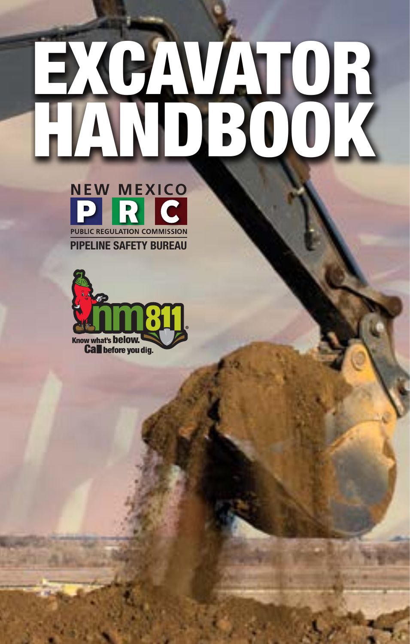# EXCAVATOR HANDBOOK



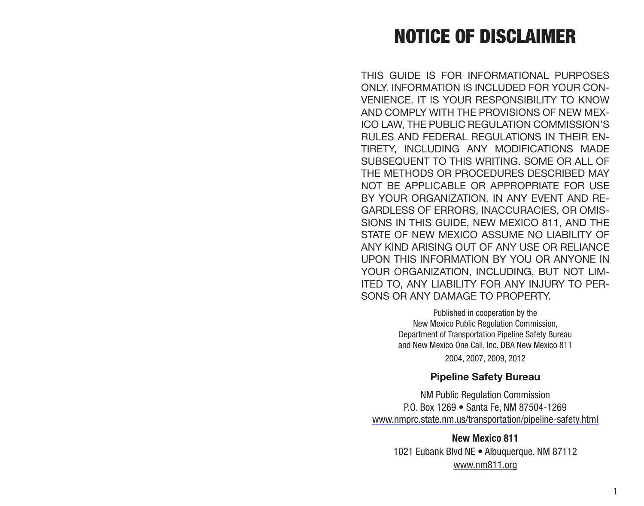# NOTICE OF DISCLAIMER

THIS GUIDE IS FOR INFORMATIONAL PURPOSES ONLY INFORMATION IS INCLUDED FOR YOUR CON-VENIENCE. IT IS YOUR RESPONSIBILITY TO KNOW AND COMPLY WITH THE PROVISIONS OF NEW MEX-ICO LAW, THE PUBLIC REGULATION COMMISSION'S RULES AND FEDERAL REGULATIONS IN THEIR EN-TIRETY, INCLUDING ANY MODIFICATIONS MADE SUBSEQUENT TO THIS WRITING. SOME OR ALL OF THE METHODS OR PROCEDURES DESCRIBED MAY NOT BE APPLICABLE OR APPROPRIATE FOR USE BY YOUR ORGANIZATION. IN ANY EVENT AND RE-GARDLESS OF ERRORS, INACCURACIES, OR OMIS-SIONS IN THIS GUIDE, NEW MEXICO 811, AND THE STATE OF NEW MEXICO ASSUME NO LIABILITY OF ANY KIND ARISING OUT OF ANY USE OR RELIANCE UPON THIS INFORMATION BY YOU OR ANYONE IN YOUR ORGANIZATION, INCLUDING, BUT NOT LIM-ITED TO, ANY LIABILITY FOR ANY INJURY TO PER-SONS OR ANY DAMAGE TO PROPERTY.

> Published in cooperation by the New Mexico Public Regulation Commission, Department of Transportation Pipeline Safety Bureau and New Mexico One Call, Inc. DBA New Mexico 811 2004, 2007, 2009, 2012

> > **Pipeline Safety Bureau**

NM Public Regulation Commission P.O. Box 1269 • Santa Fe, NM 87504-1269 [www.nmprc.state.nm.us/transportation/pipeline-safety.html](http://www.nmprc.state.nm.us/transportation/pipeline-safety.html)

**New Mexico 811**  1021 Eubank Blvd NE • Albuquerque, NM 87112 [www.nm811.org](http://www.nmonecall.org)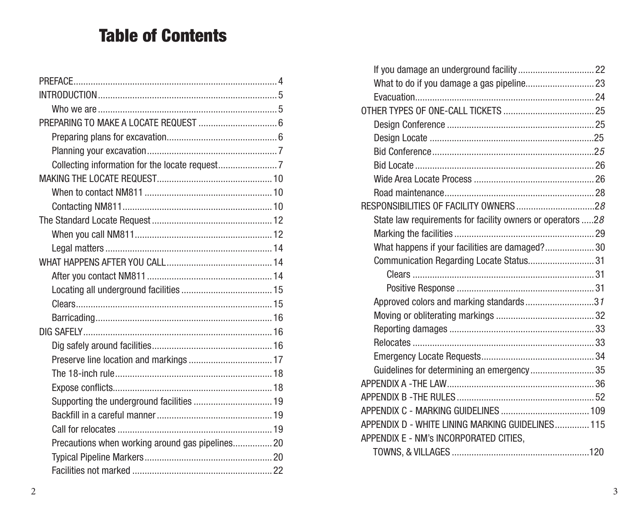# Table of Contents

| PREPARING TO MAKE A LOCATE REQUEST  6            |  |
|--------------------------------------------------|--|
|                                                  |  |
|                                                  |  |
|                                                  |  |
|                                                  |  |
|                                                  |  |
|                                                  |  |
|                                                  |  |
|                                                  |  |
|                                                  |  |
|                                                  |  |
|                                                  |  |
|                                                  |  |
|                                                  |  |
|                                                  |  |
|                                                  |  |
|                                                  |  |
|                                                  |  |
|                                                  |  |
|                                                  |  |
| Supporting the underground facilities  19        |  |
|                                                  |  |
|                                                  |  |
| Precautions when working around gas pipelines 20 |  |
|                                                  |  |
|                                                  |  |

| State law requirements for facility owners or operators 28 |  |
|------------------------------------------------------------|--|
|                                                            |  |
| What happens if your facilities are damaged? 30            |  |
| Communication Regarding Locate Status31                    |  |
|                                                            |  |
|                                                            |  |
| Approved colors and marking standards31                    |  |
|                                                            |  |
|                                                            |  |
|                                                            |  |
|                                                            |  |
| Guidelines for determining an emergency35                  |  |
|                                                            |  |
|                                                            |  |
|                                                            |  |
| APPENDIX D - WHITE LINING MARKING GUIDELINES 115           |  |
| APPENDIX E - NM's INCORPORATED CITIES,                     |  |
|                                                            |  |
|                                                            |  |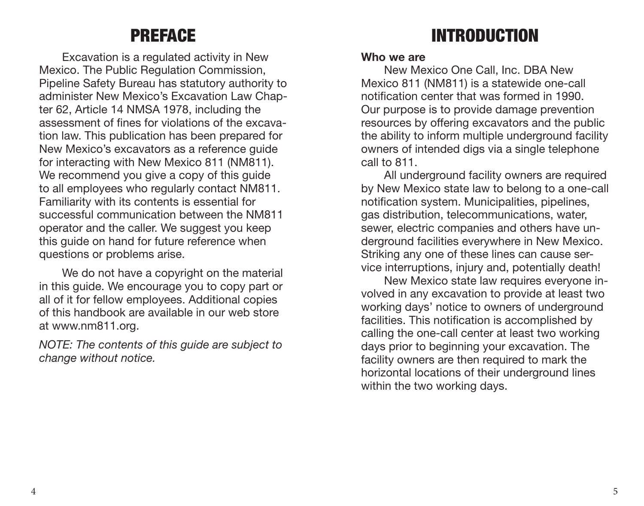# PREFACE

<span id="page-3-0"></span>Excavation is a regulated activity in New Mexico. The Public Regulation Commission, Pipeline Safety Bureau has statutory authority to administer New Mexico's Excavation Law Chapter 62, Article 14 NMSA 1978, including the assessment of fines for violations of the excavation law. This publication has been prepared for New Mexico's excavators as a reference guide for interacting with New Mexico 811 (NM811). We recommend you give a copy of this guide to all employees who regularly contact NM811. Familiarity with its contents is essential for successful communication between the NM811 operator and the caller. We suggest you keep this guide on hand for future reference when questions or problems arise.

We do not have a copyright on the material in this guide. We encourage you to copy part or all of it for fellow employees. Additional copies of this handbook are available in our web store at www.nm811.org.

*NOTE: The contents of this guide are subject to change without notice.*

# INTRODUCTION

#### **Who we are**

New Mexico One Call, Inc. DBA New Mexico 811 (NM811) is a statewide one-call notification center that was formed in 1990. Our purpose is to provide damage prevention resources by offering excavators and the public the ability to inform multiple underground facility owners of intended digs via a single telephone call to 811.

All underground facility owners are required by New Mexico state law to belong to a one-call notification system. Municipalities, pipelines, gas distribution, telecommunications, water, sewer, electric companies and others have underground facilities everywhere in New Mexico. Striking any one of these lines can cause service interruptions, injury and, potentially death!

New Mexico state law requires everyone involved in any excavation to provide at least two working days' notice to owners of underground facilities. This notification is accomplished by calling the one-call center at least two working days prior to beginning your excavation. The facility owners are then required to mark the horizontal locations of their underground lines within the two working days.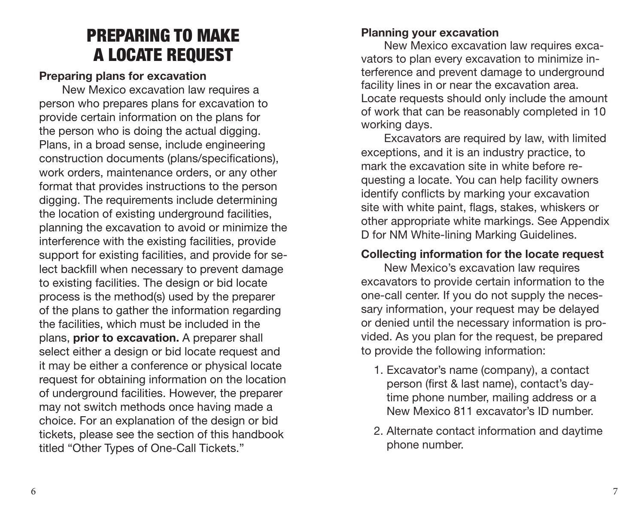# PREPARING TO MAKE A LOCATE REQUEST

#### <span id="page-4-0"></span>**Preparing plans for excavation**

New Mexico excavation law requires a person who prepares plans for excavation to provide certain information on the plans for the person who is doing the actual digging. Plans, in a broad sense, include engineering construction documents (plans/specifications), work orders, maintenance orders, or any other format that provides instructions to the person digging. The requirements include determining the location of existing underground facilities, planning the excavation to avoid or minimize the interference with the existing facilities, provide support for existing facilities, and provide for select backfill when necessary to prevent damage to existing facilities. The design or bid locate process is the method(s) used by the preparer of the plans to gather the information regarding the facilities, which must be included in the plans, **prior to excavation.** A preparer shall select either a design or bid locate request and it may be either a conference or physical locate request for obtaining information on the location of underground facilities. However, the preparer may not switch methods once having made a choice. For an explanation of the design or bid tickets, please see the section of this handbook titled "Other Types of One-Call Tickets."

#### **Planning your excavation**

New Mexico excavation law requires excavators to plan every excavation to minimize interference and prevent damage to underground facility lines in or near the excavation area. Locate requests should only include the amount of work that can be reasonably completed in 10 working days.

Excavators are required by law, with limited exceptions, and it is an industry practice, to mark the excavation site in white before requesting a locate. You can help facility owners identify conflicts by marking your excavation site with white paint, flags, stakes, whiskers or other appropriate white markings. See Appendix D for NM White-lining Marking Guidelines.

#### **Collecting information for the locate request**

New Mexico's excavation law requires excavators to provide certain information to the one-call center. If you do not supply the necessary information, your request may be delayed or denied until the necessary information is provided. As you plan for the request, be prepared to provide the following information:

- 1. Excavator's name (company), a contact person (first & last name), contact's daytime phone number, mailing address or a New Mexico 811 excavator's ID number.
- 2. Alternate contact information and daytime phone number.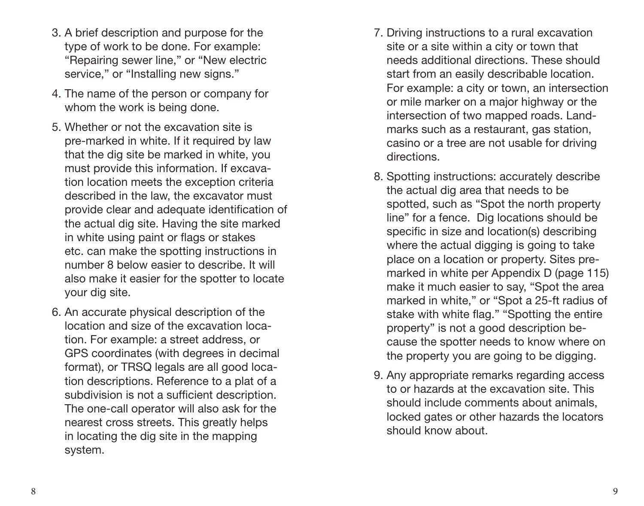- 3. A brief description and purpose for the type of work to be done. For example: "Repairing sewer line," or "New electric service." or "Installing new signs."
- 4. The name of the person or company for whom the work is being done.
- 5. Whether or not the excavation site is pre-marked in white. If it required by law that the dig site be marked in white, you must provide this information. If excavation location meets the exception criteria described in the law, the excavator must provide clear and adequate identification of the actual dig site. Having the site marked in white using paint or flags or stakes etc. can make the spotting instructions in number 8 below easier to describe. It will also make it easier for the spotter to locate your dig site.
- 6. An accurate physical description of the location and size of the excavation location. For example: a street address, or GPS coordinates (with degrees in decimal format), or TRSQ legals are all good location descriptions. Reference to a plat of a subdivision is not a sufficient description. The one-call operator will also ask for the nearest cross streets. This greatly helps in locating the dig site in the mapping system.
- 7. Driving instructions to a rural excavation site or a site within a city or town that needs additional directions. These should start from an easily describable location. For example: a city or town, an intersection or mile marker on a major highway or the intersection of two mapped roads. Landmarks such as a restaurant, gas station. casino or a tree are not usable for driving directions.
- 8. Spotting instructions: accurately describe the actual dig area that needs to be spotted, such as "Spot the north property line" for a fence. Dig locations should be specific in size and location(s) describing where the actual digging is going to take place on a location or property. Sites premarked in white per Appendix D (page 115) make it much easier to say, "Spot the area marked in white," or "Spot a 25-ft radius of stake with white flag." "Spotting the entire property" is not a good description because the spotter needs to know where on the property you are going to be digging.
- 9. Any appropriate remarks regarding access to or hazards at the excavation site. This should include comments about animals, locked gates or other hazards the locators should know about.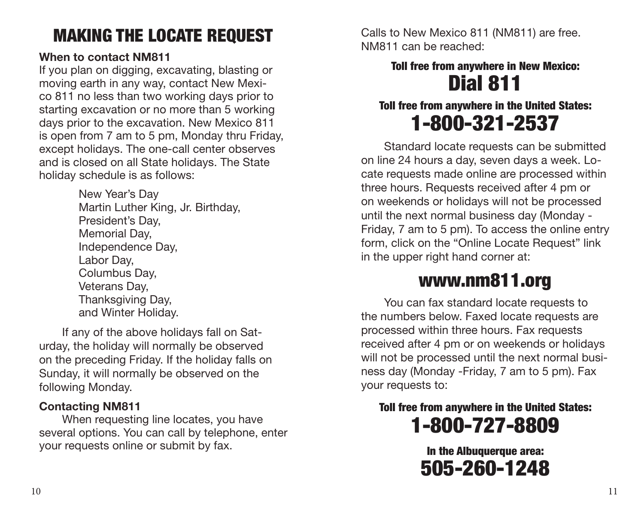# <span id="page-6-0"></span>MAKING THE LOCATE REQUEST

#### **When to contact NM811**

If you plan on digging, excavating, blasting or moving earth in any way, contact New Mexico 811 no less than two working days prior to starting excavation or no more than 5 working days prior to the excavation. New Mexico 811 is open from 7 am to 5 pm, Monday thru Friday, except holidays. The one-call center observes and is closed on all State holidays. The State holiday schedule is as follows:

> New Year's Day Martin Luther King, Jr. Birthday, President's Day, Memorial Day, Independence Day, Labor Day, Columbus Day, Veterans Day, Thanksgiving Day, and Winter Holiday.

If any of the above holidays fall on Saturday, the holiday will normally be observed on the preceding Friday. If the holiday falls on Sunday, it will normally be observed on the following Monday.

#### **Contacting NM811**

When requesting line locates, you have several options. You can call by telephone, enter your requests online or submit by fax.

Calls to New Mexico 811 (NM811) are free. NM811 can be reached:

## Toll free from anywhere in New Mexico: Dial 811

## Toll free from anywhere in the United States: 1-800-321-2537

Standard locate requests can be submitted on line 24 hours a day, seven days a week. Locate requests made online are processed within three hours. Requests received after 4 pm or on weekends or holidays will not be processed until the next normal business day (Monday - Friday, 7 am to 5 pm). To access the online entry form, click on the "Online Locate Request" link in the upper right hand corner at:

# www.nm811.org

You can fax standard locate requests to the numbers below. Faxed locate requests are processed within three hours. Fax requests received after 4 pm or on weekends or holidays will not be processed until the next normal business day (Monday -Friday, 7 am to 5 pm). Fax your requests to:

Toll free from anywhere in the United States: 1-800-727-8809

> In the Albuquerque area: 505-260-1248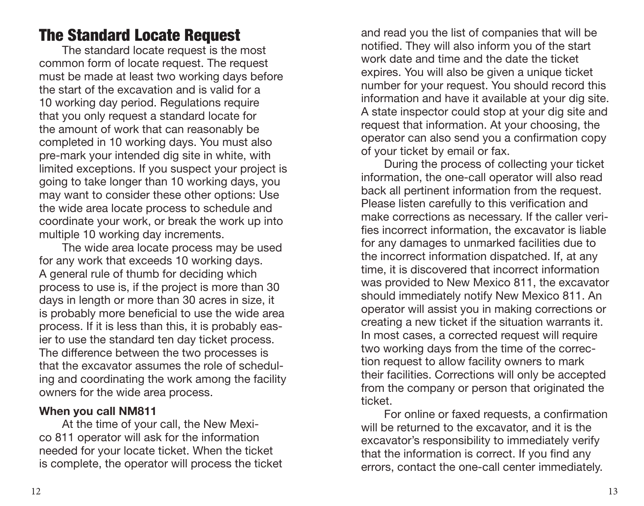## <span id="page-7-0"></span>The Standard Locate Request

The standard locate request is the most common form of locate request. The request must be made at least two working days before the start of the excavation and is valid for a 10 working day period. Regulations require that you only request a standard locate for the amount of work that can reasonably be completed in 10 working days. You must also pre-mark your intended dig site in white, with limited exceptions. If you suspect your project is going to take longer than 10 working days, you may want to consider these other options: Use the wide area locate process to schedule and coordinate your work, or break the work up into multiple 10 working day increments.

The wide area locate process may be used for any work that exceeds 10 working days. A general rule of thumb for deciding which process to use is, if the project is more than 30 days in length or more than 30 acres in size, it is probably more beneficial to use the wide area process. If it is less than this, it is probably easier to use the standard ten day ticket process. The difference between the two processes is that the excavator assumes the role of scheduling and coordinating the work among the facility owners for the wide area process.

#### **When you call NM811**

At the time of your call, the New Mexico 811 operator will ask for the information needed for your locate ticket. When the ticket is complete, the operator will process the ticket and read you the list of companies that will be notified. They will also inform you of the start work date and time and the date the ticket expires. You will also be given a unique ticket number for your request. You should record this information and have it available at your dig site. A state inspector could stop at your dig site and request that information. At your choosing, the operator can also send you a confirmation copy of your ticket by email or fax.

During the process of collecting your ticket information, the one-call operator will also read back all pertinent information from the request. Please listen carefully to this verification and make corrections as necessary. If the caller verifies incorrect information, the excavator is liable for any damages to unmarked facilities due to the incorrect information dispatched. If, at any time, it is discovered that incorrect information was provided to New Mexico 811, the excavator should immediately notify New Mexico 811. An operator will assist you in making corrections or creating a new ticket if the situation warrants it. In most cases, a corrected request will require two working days from the time of the correction request to allow facility owners to mark their facilities. Corrections will only be accepted from the company or person that originated the ticket.

For online or faxed requests, a confirmation will be returned to the excavator, and it is the excavator's responsibility to immediately verify that the information is correct. If you find any errors, contact the one-call center immediately.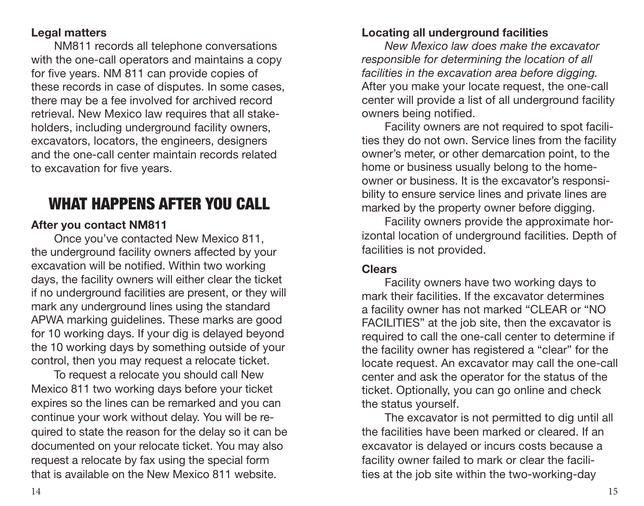#### <span id="page-8-0"></span>**Legal matters**

NM811 records all telephone conversations with the one-call operators and maintains a copy for five years. NM 811 can provide copies of these records in case of disputes. In some cases, there may be a fee involved for archived record retrieval. New Mexico law requires that all stakeholders, including underground facility owners, excavators, locators, the engineers, designers and the one-call center maintain records related to excavation for five years.

## WHAT HAPPENS AFTER YOU CALL

#### **After you contact NM811**

Once you've contacted New Mexico 811, the underground facility owners affected by your excavation will be notified. Within two working days, the facility owners will either clear the ticket if no underground facilities are present, or they will mark any underground lines using the standard APWA marking guidelines. These marks are good for 10 working days. If your dig is delayed beyond the 10 working days by something outside of your control, then you may request a relocate ticket.

To request a relocate you should call New Mexico 811 two working days before your ticket expires so the lines can be remarked and you can continue your work without delay. You will be required to state the reason for the delay so it can be documented on your relocate ticket. You may also request a relocate by fax using the special form that is available on the New Mexico 811 website.

#### **Locating all underground facilities**

*New Mexico law does make the excavator responsible for determining the location of all facilities in the excavation area before digging.*  After you make your locate request, the one-call center will provide a list of all underground facility owners being notified.

Facility owners are not required to spot facilities they do not own. Service lines from the facility owner's meter, or other demarcation point, to the home or business usually belong to the homeowner or business. It is the excavator's responsibility to ensure service lines and private lines are marked by the property owner before digging.

Facility owners provide the approximate horizontal location of underground facilities. Depth of facilities is not provided.

#### **Clears**

Facility owners have two working days to mark their facilities. If the excavator determines a facility owner has not marked "CLEAR or "NO FACILITIES" at the job site, then the excavator is required to call the one-call center to determine if the facility owner has registered a "clear" for the locate request. An excavator may call the one-call center and ask the operator for the status of the ticket. Optionally, you can go online and check the status yourself.

The excavator is not permitted to dig until all the facilities have been marked or cleared. If an excavator is delayed or incurs costs because a facility owner failed to mark or clear the facilities at the job site within the two-working-day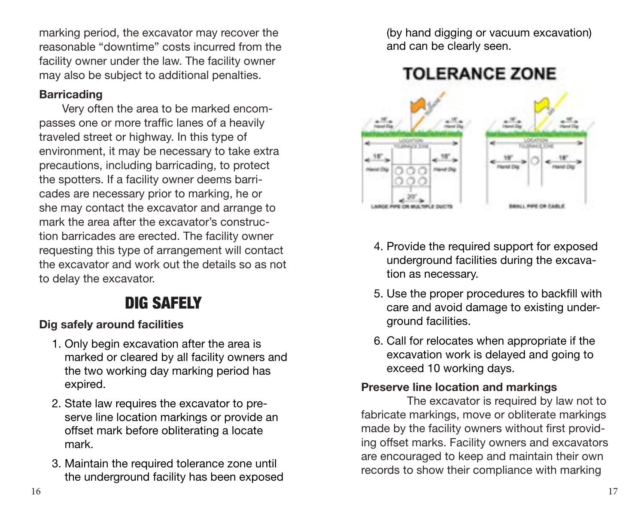<span id="page-9-0"></span>marking period, the excavator may recover the reasonable "downtime" costs incurred from the facility owner under the law. The facility owner may also be subject to additional penalties.

#### **Barricading**

Very often the area to be marked encompasses one or more traffic lanes of a heavily traveled street or highway. In this type of environment, it may be necessary to take extra precautions, including barricading, to protect the spotters. If a facility owner deems barricades are necessary prior to marking, he or she may contact the excavator and arrange to mark the area after the excavator's construction barricades are erected. The facility owner requesting this type of arrangement will contact the excavator and work out the details so as not to delay the excavator.

## DIG SAFELY

#### **Dig safely around facilities**

- 1. Only begin excavation after the area is marked or cleared by all facility owners and the two working day marking period has expired.
- 2. State law requires the excavator to preserve line location markings or provide an offset mark before obliterating a locate mark.
- 3. Maintain the required tolerance zone until the underground facility has been exposed

(by hand digging or vacuum excavation) and can be clearly seen.



- 4. Provide the required support for exposed underground facilities during the excavation as necessary.
- 5. Use the proper procedures to backfill with care and avoid damage to existing underground facilities.
- 6. Call for relocates when appropriate if the excavation work is delayed and going to exceed 10 working days.

#### **Preserve line location and markings**

The excavator is required by law not to fabricate markings, move or obliterate markings made by the facility owners without first providing offset marks. Facility owners and excavators are encouraged to keep and maintain their own records to show their compliance with marking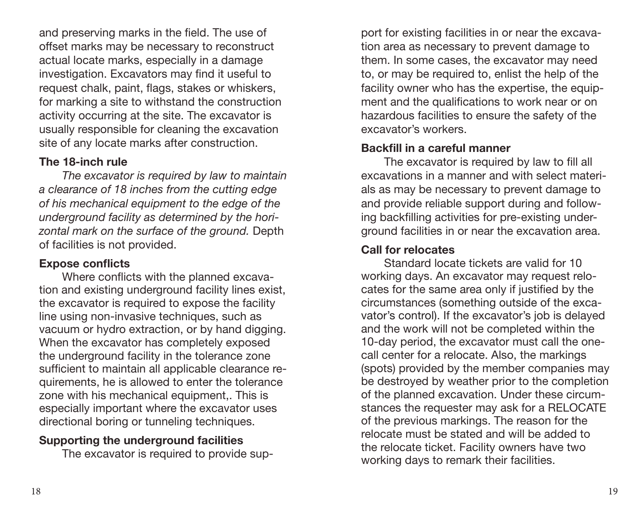<span id="page-10-0"></span>and preserving marks in the field. The use of offset marks may be necessary to reconstruct actual locate marks, especially in a damage investigation. Excavators may find it useful to request chalk, paint, flags, stakes or whiskers, for marking a site to withstand the construction activity occurring at the site. The excavator is usually responsible for cleaning the excavation site of any locate marks after construction.

#### **The 18-inch rule**

*The excavator is required by law to maintain a clearance of 18 inches from the cutting edge of his mechanical equipment to the edge of the underground facility as determined by the horizontal mark on the surface of the ground.* Depth of facilities is not provided.

#### **Expose conflicts**

Where conflicts with the planned excavation and existing underground facility lines exist, the excavator is required to expose the facility line using non-invasive techniques, such as vacuum or hydro extraction, or by hand digging. When the excavator has completely exposed the underground facility in the tolerance zone sufficient to maintain all applicable clearance requirements, he is allowed to enter the tolerance zone with his mechanical equipment,. This is especially important where the excavator uses directional boring or tunneling techniques.

#### **Supporting the underground facilities**

The excavator is required to provide sup-

port for existing facilities in or near the excavation area as necessary to prevent damage to them. In some cases, the excavator may need to, or may be required to, enlist the help of the facility owner who has the expertise, the equipment and the qualifications to work near or on hazardous facilities to ensure the safety of the excavator's workers.

#### **Backfill in a careful manner**

The excavator is required by law to fill all excavations in a manner and with select materials as may be necessary to prevent damage to and provide reliable support during and following backfilling activities for pre-existing underground facilities in or near the excavation area.

#### **Call for relocates**

Standard locate tickets are valid for 10 working days. An excavator may request relocates for the same area only if justified by the circumstances (something outside of the excavator's control). If the excavator's job is delayed and the work will not be completed within the 10-day period, the excavator must call the onecall center for a relocate. Also, the markings (spots) provided by the member companies may be destroyed by weather prior to the completion of the planned excavation. Under these circumstances the requester may ask for a RELOCATE of the previous markings. The reason for the relocate must be stated and will be added to the relocate ticket. Facility owners have two working days to remark their facilities.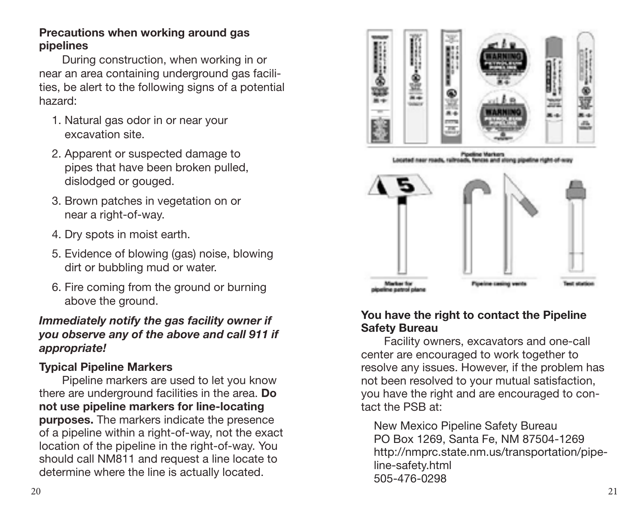#### <span id="page-11-0"></span>**Precautions when working around gas pipelines**

During construction, when working in or near an area containing underground gas facilities, be alert to the following signs of a potential hazard:

- 1. Natural gas odor in or near your excavation site.
- 2. Apparent or suspected damage to pipes that have been broken pulled, dislodged or gouged.
- 3. Brown patches in vegetation on or near a right-of-way.
- 4. Dry spots in moist earth.
- 5. Evidence of blowing (gas) noise, blowing dirt or bubbling mud or water.
- 6. Fire coming from the ground or burning above the ground.

#### *Immediately notify the gas facility owner if you observe any of the above and call 911 if appropriate!*

#### **Typical Pipeline Markers**

Pipeline markers are used to let you know there are underground facilities in the area. **Do not use pipeline markers for line-locating purposes.** The markers indicate the presence of a pipeline within a right-of-way, not the exact location of the pipeline in the right-of-way. You should call NM811 and request a line locate to determine where the line is actually located.



.<br>Corted near roads, railroads, fences and along pipeline right of ox



#### **You have the right to contact the Pipeline Safety Bureau**

Facility owners, excavators and one-call center are encouraged to work together to resolve any issues. However, if the problem has not been resolved to your mutual satisfaction, you have the right and are encouraged to contact the PSB at:

New Mexico Pipeline Safety Bureau PO Box 1269, Santa Fe, NM 87504-1269 http://nmprc.state.nm.us/transportation/pipeline-safety.html 505-476-0298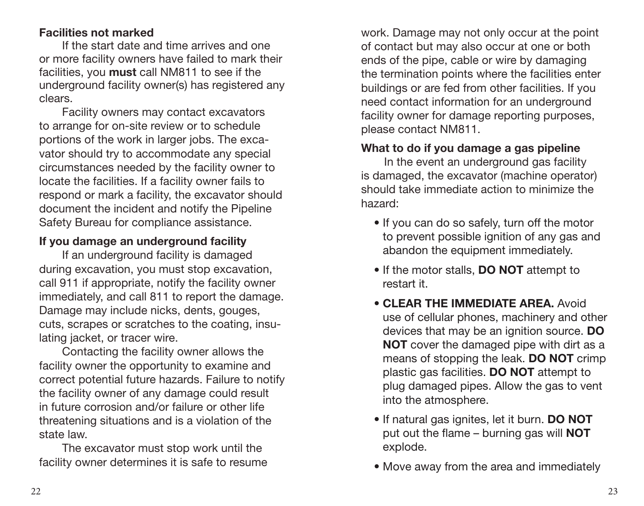#### <span id="page-12-0"></span>**Facilities not marked**

If the start date and time arrives and one or more facility owners have failed to mark their facilities, you **must** call NM811 to see if the underground facility owner(s) has registered any clears.

Facility owners may contact excavators to arrange for on-site review or to schedule portions of the work in larger jobs. The excavator should try to accommodate any special circumstances needed by the facility owner to locate the facilities. If a facility owner fails to respond or mark a facility, the excavator should document the incident and notify the Pipeline Safety Bureau for compliance assistance.

#### **If you damage an underground facility**

If an underground facility is damaged during excavation, you must stop excavation, call 911 if appropriate, notify the facility owner immediately, and call 811 to report the damage. Damage may include nicks, dents, gouges, cuts, scrapes or scratches to the coating, insulating jacket, or tracer wire.

Contacting the facility owner allows the facility owner the opportunity to examine and correct potential future hazards. Failure to notify the facility owner of any damage could result in future corrosion and/or failure or other life threatening situations and is a violation of the state law.

The excavator must stop work until the facility owner determines it is safe to resume work. Damage may not only occur at the point of contact but may also occur at one or both ends of the pipe, cable or wire by damaging the termination points where the facilities enter buildings or are fed from other facilities. If you need contact information for an underground facility owner for damage reporting purposes, please contact NM811.

#### **What to do if you damage a gas pipeline**

In the event an underground gas facility is damaged, the excavator (machine operator) should take immediate action to minimize the hazard:

- If you can do so safely, turn off the motor to prevent possible ignition of any gas and abandon the equipment immediately.
- If the motor stalls, **DO NOT** attempt to restart it.
- **CLEAR THE IMMEDIATE AREA** Avoid use of cellular phones, machinery and other devices that may be an ignition source. **DO NOT** cover the damaged pipe with dirt as a means of stopping the leak. **DO NOT** crimp plastic gas facilities. **DO NOT** attempt to plug damaged pipes. Allow the gas to vent into the atmosphere.
- If natural gas ignites, let it burn. **DO NOT** put out the flame – burning gas will **NOT** explode.
- Move away from the area and immediately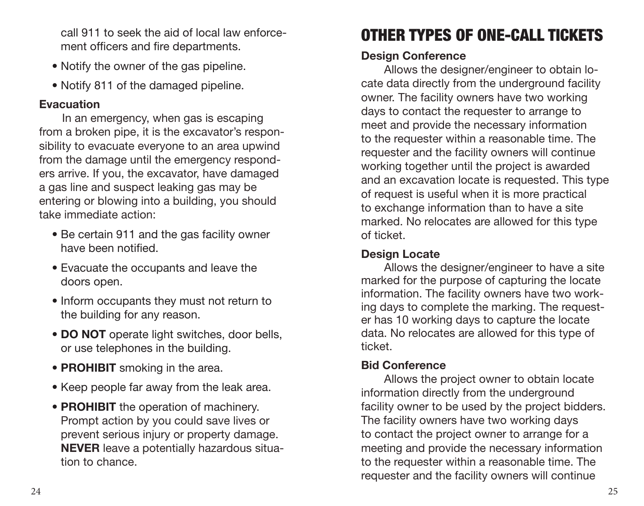<span id="page-13-0"></span>call 911 to seek the aid of local law enforcement officers and fire departments.

- Notify the owner of the gas pipeline.
- Notify 811 of the damaged pipeline.

#### **Evacuation**

In an emergency, when gas is escaping from a broken pipe, it is the excavator's responsibility to evacuate everyone to an area upwind from the damage until the emergency responders arrive. If you, the excavator, have damaged a gas line and suspect leaking gas may be entering or blowing into a building, you should take immediate action:

- Be certain 911 and the gas facility owner have been notified.
- Evacuate the occupants and leave the doors open.
- Inform occupants they must not return to the building for any reason.
- **DO NOT** operate light switches, door bells, or use telephones in the building.
- **PROHIBIT** smoking in the area.
- Keep people far away from the leak area.
- **PROHIBIT** the operation of machinery. Prompt action by you could save lives or prevent serious injury or property damage. **NEVER** leave a potentially hazardous situation to chance.

# OTHER TYPES OF ONE-CALL TICKETS

#### **Design Conference**

Allows the designer/engineer to obtain locate data directly from the underground facility owner. The facility owners have two working days to contact the requester to arrange to meet and provide the necessary information to the requester within a reasonable time. The requester and the facility owners will continue working together until the project is awarded and an excavation locate is requested. This type of request is useful when it is more practical to exchange information than to have a site marked. No relocates are allowed for this type of ticket.

#### **Design Locate**

Allows the designer/engineer to have a site marked for the purpose of capturing the locate information. The facility owners have two working days to complete the marking. The requester has 10 working days to capture the locate data. No relocates are allowed for this type of ticket.

#### **Bid Conference**

Allows the project owner to obtain locate information directly from the underground facility owner to be used by the project bidders. The facility owners have two working days to contact the project owner to arrange for a meeting and provide the necessary information to the requester within a reasonable time. The requester and the facility owners will continue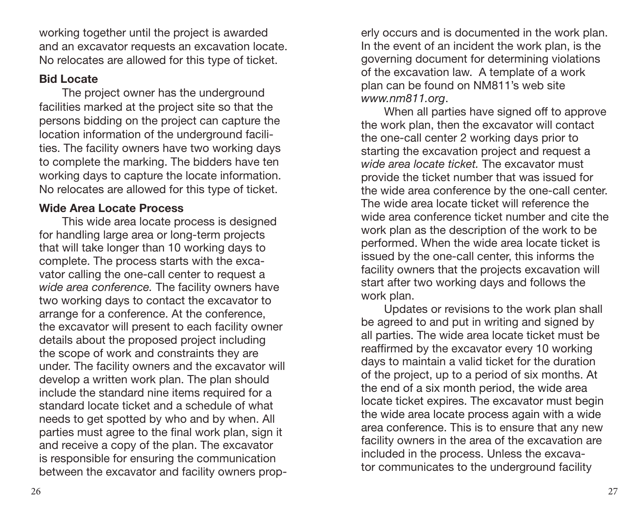<span id="page-14-0"></span>working together until the project is awarded and an excavator requests an excavation locate. No relocates are allowed for this type of ticket.

#### **Bid Locate**

The project owner has the underground facilities marked at the project site so that the persons bidding on the project can capture the location information of the underground facilities. The facility owners have two working days to complete the marking. The bidders have ten working days to capture the locate information. No relocates are allowed for this type of ticket.

#### **Wide Area Locate Process**

This wide area locate process is designed for handling large area or long-term projects that will take longer than 10 working days to complete. The process starts with the excavator calling the one-call center to request a *wide area conference.* The facility owners have two working days to contact the excavator to arrange for a conference. At the conference, the excavator will present to each facility owner details about the proposed project including the scope of work and constraints they are under. The facility owners and the excavator will develop a written work plan. The plan should include the standard nine items required for a standard locate ticket and a schedule of what needs to get spotted by who and by when. All parties must agree to the final work plan, sign it and receive a copy of the plan. The excavator is responsible for ensuring the communication between the excavator and facility owners properly occurs and is documented in the work plan. In the event of an incident the work plan, is the governing document for determining violations of the excavation law. A template of a work plan can be found on NM811's web site *www.nm811.org*.

When all parties have signed off to approve the work plan, then the excavator will contact the one-call center 2 working days prior to starting the excavation project and request a *wide area locate ticket.* The excavator must provide the ticket number that was issued for the wide area conference by the one-call center. The wide area locate ticket will reference the wide area conference ticket number and cite the work plan as the description of the work to be performed. When the wide area locate ticket is issued by the one-call center, this informs the facility owners that the projects excavation will start after two working days and follows the work plan.

Updates or revisions to the work plan shall be agreed to and put in writing and signed by all parties. The wide area locate ticket must be reaffirmed by the excavator every 10 working days to maintain a valid ticket for the duration of the project, up to a period of six months. At the end of a six month period, the wide area locate ticket expires. The excavator must begin the wide area locate process again with a wide area conference. This is to ensure that any new facility owners in the area of the excavation are included in the process. Unless the excavator communicates to the underground facility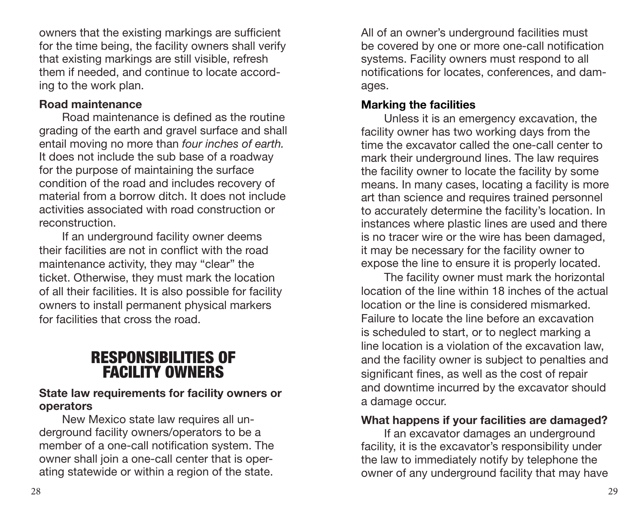<span id="page-15-0"></span>owners that the existing markings are sufficient for the time being, the facility owners shall verify that existing markings are still visible, refresh them if needed, and continue to locate according to the work plan.

#### **Road maintenance**

Road maintenance is defined as the routine grading of the earth and gravel surface and shall entail moving no more than *four inches of earth.* It does not include the sub base of a roadway for the purpose of maintaining the surface condition of the road and includes recovery of material from a borrow ditch. It does not include activities associated with road construction or reconstruction.

If an underground facility owner deems their facilities are not in conflict with the road maintenance activity, they may "clear" the ticket. Otherwise, they must mark the location of all their facilities. It is also possible for facility owners to install permanent physical markers for facilities that cross the road.

## RESPONSIBILITIES OF FACILITY OWNERS

#### **State law requirements for facility owners or operators**

New Mexico state law requires all underground facility owners/operators to be a member of a one-call notification system. The owner shall join a one-call center that is operating statewide or within a region of the state.

All of an owner's underground facilities must be covered by one or more one-call notification systems. Facility owners must respond to all notifications for locates, conferences, and damages.

#### **Marking the facilities**

Unless it is an emergency excavation, the facility owner has two working days from the time the excavator called the one-call center to mark their underground lines. The law requires the facility owner to locate the facility by some means. In many cases, locating a facility is more art than science and requires trained personnel to accurately determine the facility's location. In instances where plastic lines are used and there is no tracer wire or the wire has been damaged, it may be necessary for the facility owner to expose the line to ensure it is properly located.

The facility owner must mark the horizontal location of the line within 18 inches of the actual location or the line is considered mismarked. Failure to locate the line before an excavation is scheduled to start, or to neglect marking a line location is a violation of the excavation law, and the facility owner is subject to penalties and significant fines, as well as the cost of repair and downtime incurred by the excavator should a damage occur.

#### **What happens if your facilities are damaged?**

If an excavator damages an underground facility, it is the excavator's responsibility under the law to immediately notify by telephone the owner of any underground facility that may have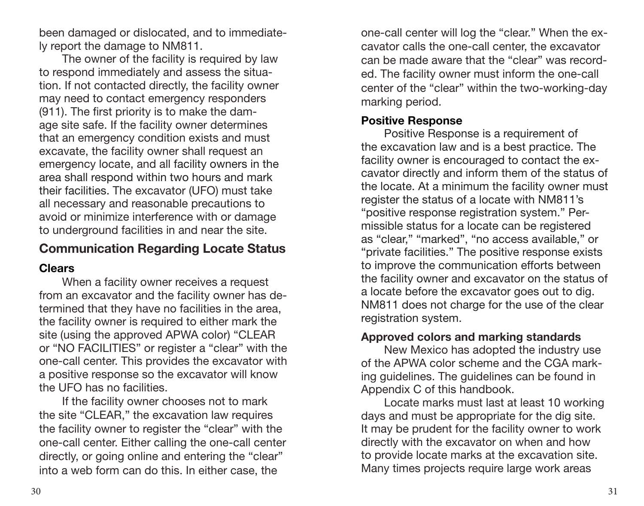<span id="page-16-0"></span>been damaged or dislocated, and to immediately report the damage to NM811.

The owner of the facility is required by law to respond immediately and assess the situation. If not contacted directly, the facility owner may need to contact emergency responders (911). The first priority is to make the damage site safe. If the facility owner determines that an emergency condition exists and must excavate, the facility owner shall request an emergency locate, and all facility owners in the area shall respond within two hours and mark their facilities. The excavator (UFO) must take all necessary and reasonable precautions to avoid or minimize interference with or damage to underground facilities in and near the site.

#### **Communication Regarding Locate Status**

#### **Clears**

When a facility owner receives a request from an excavator and the facility owner has determined that they have no facilities in the area, the facility owner is required to either mark the site (using the approved APWA color) "CLEAR or "NO FACILITIES" or register a "clear" with the one-call center. This provides the excavator with a positive response so the excavator will know the UFO has no facilities.

If the facility owner chooses not to mark the site "CLEAR," the excavation law requires the facility owner to register the "clear" with the one-call center. Either calling the one-call center directly, or going online and entering the "clear" into a web form can do this. In either case, the

one-call center will log the "clear." When the excavator calls the one-call center, the excavator can be made aware that the "clear" was recorded. The facility owner must inform the one-call center of the "clear" within the two-working-day marking period.

#### **Positive Response**

Positive Response is a requirement of the excavation law and is a best practice. The facility owner is encouraged to contact the excavator directly and inform them of the status of the locate. At a minimum the facility owner must register the status of a locate with NM811's "positive response registration system." Permissible status for a locate can be registered as "clear," "marked", "no access available," or "private facilities." The positive response exists to improve the communication efforts between the facility owner and excavator on the status of a locate before the excavator goes out to dig. NM811 does not charge for the use of the clear registration system.

#### **Approved colors and marking standards**

New Mexico has adopted the industry use of the APWA color scheme and the CGA marking guidelines. The guidelines can be found in Appendix C of this handbook.

Locate marks must last at least 10 working days and must be appropriate for the dig site. It may be prudent for the facility owner to work directly with the excavator on when and how to provide locate marks at the excavation site. Many times projects require large work areas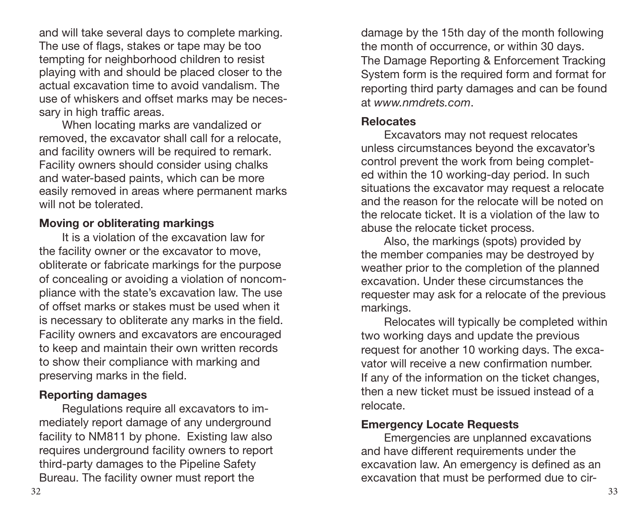<span id="page-17-0"></span>and will take several days to complete marking. The use of flags, stakes or tape may be too tempting for neighborhood children to resist playing with and should be placed closer to the actual excavation time to avoid vandalism. The use of whiskers and offset marks may be necessary in high traffic areas.

When locating marks are vandalized or removed, the excavator shall call for a relocate, and facility owners will be required to remark. Facility owners should consider using chalks and water-based paints, which can be more easily removed in areas where permanent marks will not be tolerated.

#### **Moving or obliterating markings**

It is a violation of the excavation law for the facility owner or the excavator to move, obliterate or fabricate markings for the purpose of concealing or avoiding a violation of noncompliance with the state's excavation law. The use of offset marks or stakes must be used when it is necessary to obliterate any marks in the field. Facility owners and excavators are encouraged to keep and maintain their own written records to show their compliance with marking and preserving marks in the field.

#### **Reporting damages**

Regulations require all excavators to immediately report damage of any underground facility to NM811 by phone. Existing law also requires underground facility owners to report third-party damages to the Pipeline Safety Bureau. The facility owner must report the

damage by the 15th day of the month following the month of occurrence, or within 30 days. The Damage Reporting & Enforcement Tracking System form is the required form and format for reporting third party damages and can be found at *www.nmdrets.com*.

#### **Relocates**

Excavators may not request relocates unless circumstances beyond the excavator's control prevent the work from being completed within the 10 working-day period. In such situations the excavator may request a relocate and the reason for the relocate will be noted on the relocate ticket. It is a violation of the law to abuse the relocate ticket process.

Also, the markings (spots) provided by the member companies may be destroyed by weather prior to the completion of the planned excavation. Under these circumstances the requester may ask for a relocate of the previous markings.

Relocates will typically be completed within two working days and update the previous request for another 10 working days. The excavator will receive a new confirmation number. If any of the information on the ticket changes, then a new ticket must be issued instead of a relocate.

#### **Emergency Locate Requests**

Emergencies are unplanned excavations and have different requirements under the excavation law. An emergency is defined as an excavation that must be performed due to cir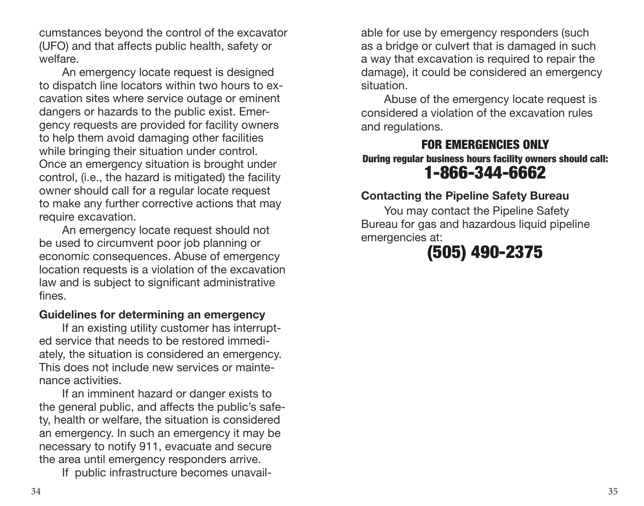<span id="page-18-0"></span>cumstances beyond the control of the excavator (UFO) and that affects public health, safety or welfare.

An emergency locate request is designed to dispatch line locators within two hours to excavation sites where service outage or eminent dangers or hazards to the public exist. Emergency requests are provided for facility owners to help them avoid damaging other facilities while bringing their situation under control. Once an emergency situation is brought under control, (i.e., the hazard is mitigated) the facility owner should call for a regular locate request to make any further corrective actions that may require excavation.

An emergency locate request should not be used to circumvent poor job planning or economic consequences. Abuse of emergency location requests is a violation of the excavation law and is subject to significant administrative fines.

#### **Guidelines for determining an emergency**

If an existing utility customer has interrupted service that needs to be restored immediately, the situation is considered an emergency. This does not include new services or maintenance activities.

If an imminent hazard or danger exists to the general public, and affects the public's safety, health or welfare, the situation is considered an emergency. In such an emergency it may be necessary to notify 911, evacuate and secure the area until emergency responders arrive.

If public infrastructure becomes unavail-

able for use by emergency responders (such as a bridge or culvert that is damaged in such a way that excavation is required to repair the damage), it could be considered an emergency situation.

Abuse of the emergency locate request is considered a violation of the excavation rules and regulations.

#### FOR EMERGENCIES ONLY During regular business hours facility owners should call: 1-866-344-6662

#### **Contacting the Pipeline Safety Bureau**

You may contact the Pipeline Safety Bureau for gas and hazardous liquid pipeline emergencies at:

# (505) 490-2375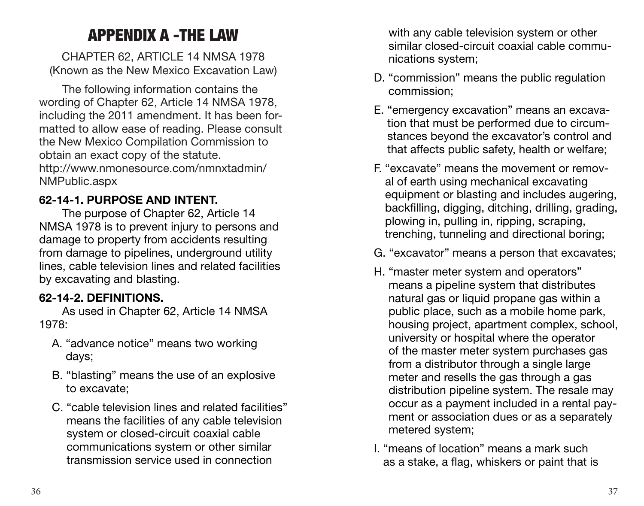## APPENDIX A -THE LAW

<span id="page-19-0"></span>CHAPTER 62, ARTICLE 14 NMSA 1978 (Known as the New Mexico Excavation Law)

The following information contains the wording of Chapter 62, Article 14 NMSA 1978, including the 2011 amendment. It has been formatted to allow ease of reading. Please consult the New Mexico Compilation Commission to obtain an exact copy of the statute. http://www.nmonesource.com/nmnxtadmin/ NMPublic.aspx

#### **62-14-1. PURPOSE AND INTENT.**

The purpose of Chapter 62, Article 14 NMSA 1978 is to prevent injury to persons and damage to property from accidents resulting from damage to pipelines, underground utility lines, cable television lines and related facilities by excavating and blasting.

#### **62-14-2. DEFINITIONS.**

As used in Chapter 62, Article 14 NMSA 1978:

- A. "advance notice" means two working days;
- B. "blasting" means the use of an explosive to excavate;
- C. "cable television lines and related facilities" means the facilities of any cable television system or closed-circuit coaxial cable communications system or other similar transmission service used in connection

with any cable television system or other similar closed-circuit coaxial cable communications system;

- D. "commission" means the public regulation commission;
- E. "emergency excavation" means an excavation that must be performed due to circumstances beyond the excavator's control and that affects public safety, health or welfare;
- F. "excavate" means the movement or removal of earth using mechanical excavating equipment or blasting and includes augering, backfilling, digging, ditching, drilling, grading, plowing in, pulling in, ripping, scraping, trenching, tunneling and directional boring;
- G. "excavator" means a person that excavates;
- H. "master meter system and operators" means a pipeline system that distributes natural gas or liquid propane gas within a public place, such as a mobile home park, housing project, apartment complex, school, university or hospital where the operator of the master meter system purchases gas from a distributor through a single large meter and resells the gas through a gas distribution pipeline system. The resale may occur as a payment included in a rental payment or association dues or as a separately metered system;
- I. "means of location" means a mark such as a stake, a flag, whiskers or paint that is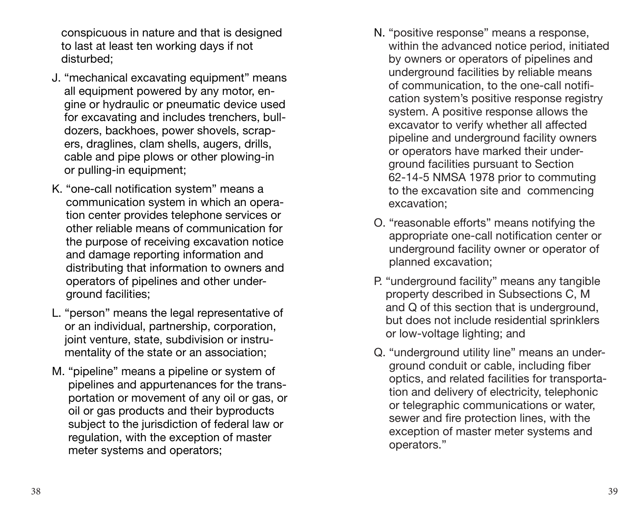conspicuous in nature and that is designed to last at least ten working days if not disturbed;

- J. "mechanical excavating equipment" means all equipment powered by any motor, engine or hydraulic or pneumatic device used for excavating and includes trenchers, bulldozers, backhoes, power shovels, scrapers, draglines, clam shells, augers, drills, cable and pipe plows or other plowing-in or pulling-in equipment;
- K. "one-call notification system" means a communication system in which an operation center provides telephone services or other reliable means of communication for the purpose of receiving excavation notice and damage reporting information and distributing that information to owners and operators of pipelines and other underground facilities;
- L. "person" means the legal representative of or an individual, partnership, corporation, joint venture, state, subdivision or instrumentality of the state or an association;
- M. "pipeline" means a pipeline or system of pipelines and appurtenances for the transportation or movement of any oil or gas, or oil or gas products and their byproducts subject to the jurisdiction of federal law or regulation, with the exception of master meter systems and operators;
- N. "positive response" means a response, within the advanced notice period, initiated by owners or operators of pipelines and underground facilities by reliable means of communication, to the one-call notification system's positive response registry system. A positive response allows the excavator to verify whether all affected pipeline and underground facility owners or operators have marked their underground facilities pursuant to Section 62-14-5 NMSA 1978 prior to commuting to the excavation site and commencing excavation;
- O. "reasonable efforts" means notifying the appropriate one-call notification center or underground facility owner or operator of planned excavation;
- P. "underground facility" means any tangible property described in Subsections C, M and Q of this section that is underground, but does not include residential sprinklers or low-voltage lighting; and
- Q. "underground utility line" means an underground conduit or cable, including fiber optics, and related facilities for transportation and delivery of electricity, telephonic or telegraphic communications or water, sewer and fire protection lines, with the exception of master meter systems and operators."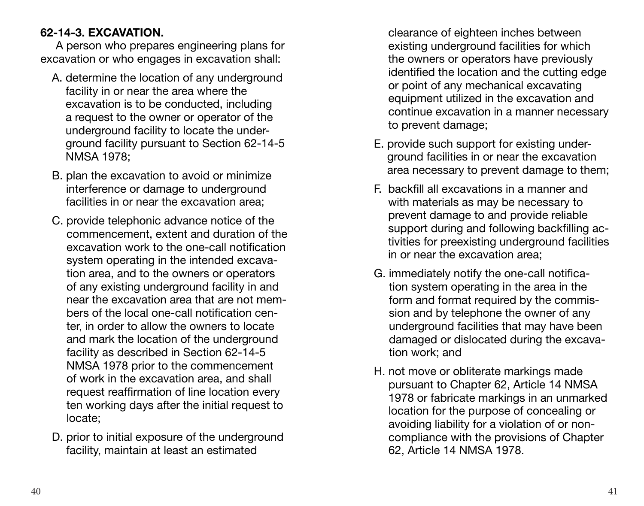#### **62-14-3. EXCAVATION.**

A person who prepares engineering plans for excavation or who engages in excavation shall:

- A. determine the location of any underground facility in or near the area where the excavation is to be conducted, including a request to the owner or operator of the underground facility to locate the underground facility pursuant to Section 62-14-5 NMSA 1978;
- B. plan the excavation to avoid or minimize interference or damage to underground facilities in or near the excavation area;
- C. provide telephonic advance notice of the commencement, extent and duration of the excavation work to the one-call notification system operating in the intended excavation area, and to the owners or operators of any existing underground facility in and near the excavation area that are not members of the local one-call notification center, in order to allow the owners to locate and mark the location of the underground facility as described in Section 62-14-5 NMSA 1978 prior to the commencement of work in the excavation area, and shall request reaffirmation of line location every ten working days after the initial request to locate;
- D. prior to initial exposure of the underground facility, maintain at least an estimated

clearance of eighteen inches between existing underground facilities for which the owners or operators have previously identified the location and the cutting edge or point of any mechanical excavating equipment utilized in the excavation and continue excavation in a manner necessary to prevent damage;

- E. provide such support for existing underground facilities in or near the excavation area necessary to prevent damage to them;
- F. backfill all excavations in a manner and with materials as may be necessary to prevent damage to and provide reliable support during and following backfilling activities for preexisting underground facilities in or near the excavation area;
- G. immediately notify the one-call notification system operating in the area in the form and format required by the commission and by telephone the owner of any underground facilities that may have been damaged or dislocated during the excavation work; and
- H. not move or obliterate markings made pursuant to Chapter 62, Article 14 NMSA 1978 or fabricate markings in an unmarked location for the purpose of concealing or avoiding liability for a violation of or noncompliance with the provisions of Chapter 62, Article 14 NMSA 1978.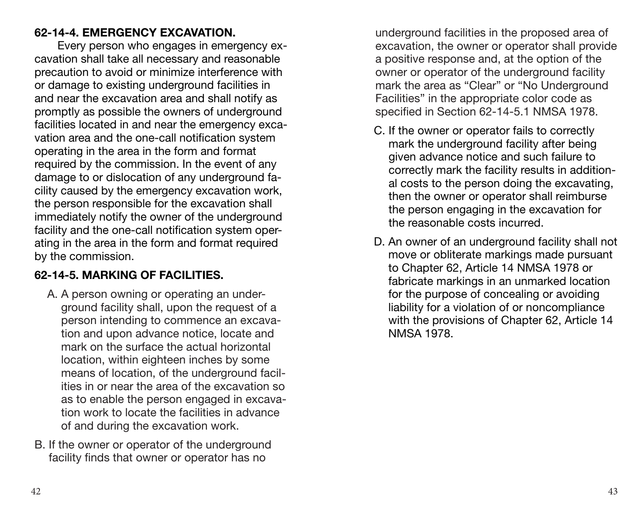#### **62-14-4. EMERGENCY EXCAVATION.**

Every person who engages in emergency excavation shall take all necessary and reasonable precaution to avoid or minimize interference with or damage to existing underground facilities in and near the excavation area and shall notify as promptly as possible the owners of underground facilities located in and near the emergency excavation area and the one-call notification system operating in the area in the form and format required by the commission. In the event of any damage to or dislocation of any underground facility caused by the emergency excavation work, the person responsible for the excavation shall immediately notify the owner of the underground facility and the one-call notification system operating in the area in the form and format required by the commission.

#### **62-14-5. MARKING OF FACILITIES.**

- A. A person owning or operating an underground facility shall, upon the request of a person intending to commence an excavation and upon advance notice, locate and mark on the surface the actual horizontal location, within eighteen inches by some means of location, of the underground facilities in or near the area of the excavation so as to enable the person engaged in excavation work to locate the facilities in advance of and during the excavation work.
- B. If the owner or operator of the underground facility finds that owner or operator has no

underground facilities in the proposed area of excavation, the owner or operator shall provide a positive response and, at the option of the owner or operator of the underground facility mark the area as "Clear" or "No Underground Facilities" in the appropriate color code as specified in Section 62-14-5.1 NMSA 1978.

- C. If the owner or operator fails to correctly mark the underground facility after being given advance notice and such failure to correctly mark the facility results in additional costs to the person doing the excavating, then the owner or operator shall reimburse the person engaging in the excavation for the reasonable costs incurred.
- D. An owner of an underground facility shall not move or obliterate markings made pursuant to Chapter 62, Article 14 NMSA 1978 or fabricate markings in an unmarked location for the purpose of concealing or avoiding liability for a violation of or noncompliance with the provisions of Chapter 62, Article 14 NMSA 1978.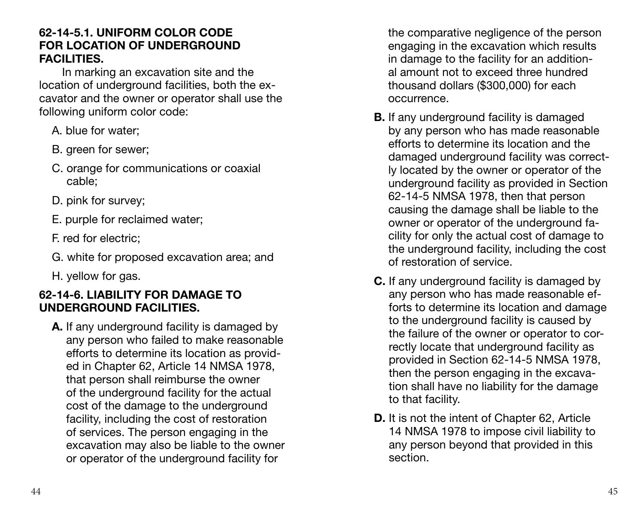#### **62-14-5.1. UNIFORM COLOR CODE FOR LOCATION OF UNDERGROUND FACILITIES.**

In marking an excavation site and the location of underground facilities, both the excavator and the owner or operator shall use the following uniform color code:

- A. blue for water;
- B. green for sewer;
- C. orange for communications or coaxial cable;
- D. pink for survey;
- E. purple for reclaimed water;
- F. red for electric;
- G. white for proposed excavation area; and
- H. yellow for gas.

#### **62-14-6. LIABILITY FOR DAMAGE TO UNDERGROUND FACILITIES.**

**A.** If any underground facility is damaged by any person who failed to make reasonable efforts to determine its location as provided in Chapter 62, Article 14 NMSA 1978, that person shall reimburse the owner of the underground facility for the actual cost of the damage to the underground facility, including the cost of restoration of services. The person engaging in the excavation may also be liable to the owner or operator of the underground facility for

the comparative negligence of the person engaging in the excavation which results in damage to the facility for an additional amount not to exceed three hundred thousand dollars (\$300,000) for each occurrence.

- **B.** If any underground facility is damaged by any person who has made reasonable efforts to determine its location and the damaged underground facility was correctly located by the owner or operator of the underground facility as provided in Section 62-14-5 NMSA 1978, then that person causing the damage shall be liable to the owner or operator of the underground facility for only the actual cost of damage to the underground facility, including the cost of restoration of service.
- **C.** If any underground facility is damaged by any person who has made reasonable efforts to determine its location and damage to the underground facility is caused by the failure of the owner or operator to correctly locate that underground facility as provided in Section 62-14-5 NMSA 1978, then the person engaging in the excavation shall have no liability for the damage to that facility.
- **D.** It is not the intent of Chapter 62, Article 14 NMSA 1978 to impose civil liability to any person beyond that provided in this section.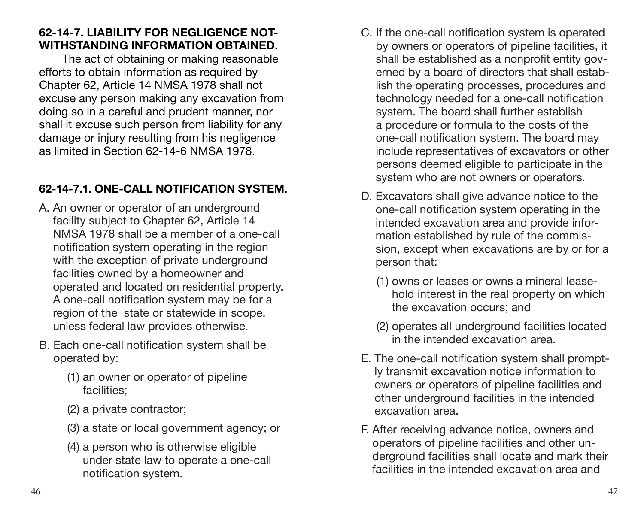#### **62-14-7. LIABILITY FOR NEGLIGENCE NOT-WITHSTANDING INFORMATION OBTAINED.**

The act of obtaining or making reasonable efforts to obtain information as required by Chapter 62, Article 14 NMSA 1978 shall not excuse any person making any excavation from doing so in a careful and prudent manner, nor shall it excuse such person from liability for any damage or injury resulting from his negligence as limited in Section 62-14-6 NMSA 1978.

#### **62-14-7.1. ONE-CALL NOTIFICATION SYSTEM.**

- A. An owner or operator of an underground facility subject to Chapter 62, Article 14 NMSA 1978 shall be a member of a one-call notification system operating in the region with the exception of private underground facilities owned by a homeowner and operated and located on residential property. A one-call notification system may be for a region of the state or statewide in scope, unless federal law provides otherwise.
- B. Each one-call notification system shall be operated by:
	- (1) an owner or operator of pipeline facilities;
	- (2) a private contractor;
	- (3) a state or local government agency; or
	- (4) a person who is otherwise eligible under state law to operate a one-call notification system.
- C. If the one-call notification system is operated by owners or operators of pipeline facilities, it shall be established as a nonprofit entity governed by a board of directors that shall establish the operating processes, procedures and technology needed for a one-call notification system. The board shall further establish a procedure or formula to the costs of the one-call notification system. The board may include representatives of excavators or other persons deemed eligible to participate in the system who are not owners or operators.
- D. Excavators shall give advance notice to the one-call notification system operating in the intended excavation area and provide information established by rule of the commission, except when excavations are by or for a person that:
	- (1) owns or leases or owns a mineral leasehold interest in the real property on which the excavation occurs; and
	- (2) operates all underground facilities located in the intended excavation area.
- E. The one-call notification system shall promptly transmit excavation notice information to owners or operators of pipeline facilities and other underground facilities in the intended excavation area.
- F. After receiving advance notice, owners and operators of pipeline facilities and other underground facilities shall locate and mark their facilities in the intended excavation area and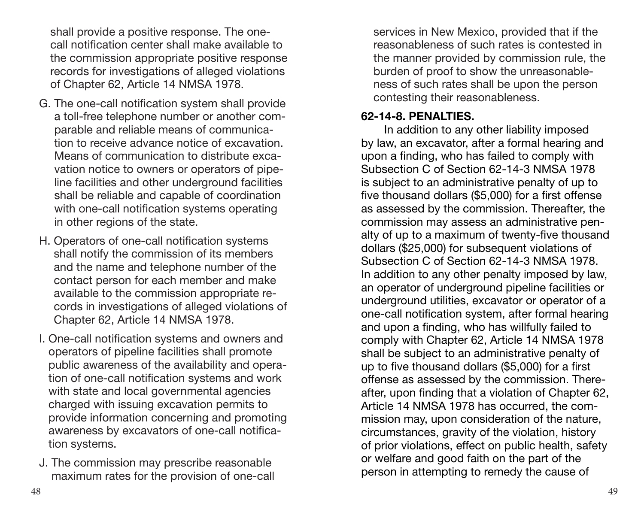shall provide a positive response. The onecall notification center shall make available to the commission appropriate positive response records for investigations of alleged violations of Chapter 62, Article 14 NMSA 1978.

- G. The one-call notification system shall provide a toll-free telephone number or another comparable and reliable means of communication to receive advance notice of excavation. Means of communication to distribute excavation notice to owners or operators of pipeline facilities and other underground facilities shall be reliable and capable of coordination with one-call notification systems operating in other regions of the state.
- H. Operators of one-call notification systems shall notify the commission of its members and the name and telephone number of the contact person for each member and make available to the commission appropriate records in investigations of alleged violations of Chapter 62, Article 14 NMSA 1978.
- I. One-call notification systems and owners and operators of pipeline facilities shall promote public awareness of the availability and operation of one-call notification systems and work with state and local governmental agencies charged with issuing excavation permits to provide information concerning and promoting awareness by excavators of one-call notification systems.
- J. The commission may prescribe reasonable maximum rates for the provision of one-call

services in New Mexico, provided that if the reasonableness of such rates is contested in the manner provided by commission rule, the burden of proof to show the unreasonableness of such rates shall be upon the person contesting their reasonableness.

#### **62-14-8. PENALTIES.**

In addition to any other liability imposed by law, an excavator, after a formal hearing and upon a finding, who has failed to comply with Subsection C of Section 62-14-3 NMSA 1978 is subject to an administrative penalty of up to five thousand dollars (\$5,000) for a first offense as assessed by the commission. Thereafter, the commission may assess an administrative penalty of up to a maximum of twenty-five thousand dollars (\$25,000) for subsequent violations of Subsection C of Section 62-14-3 NMSA 1978. In addition to any other penalty imposed by law, an operator of underground pipeline facilities or underground utilities, excavator or operator of a one-call notification system, after formal hearing and upon a finding, who has willfully failed to comply with Chapter 62, Article 14 NMSA 1978 shall be subject to an administrative penalty of up to five thousand dollars (\$5,000) for a first offense as assessed by the commission. Thereafter, upon finding that a violation of Chapter 62, Article 14 NMSA 1978 has occurred, the commission may, upon consideration of the nature, circumstances, gravity of the violation, history of prior violations, effect on public health, safety or welfare and good faith on the part of the person in attempting to remedy the cause of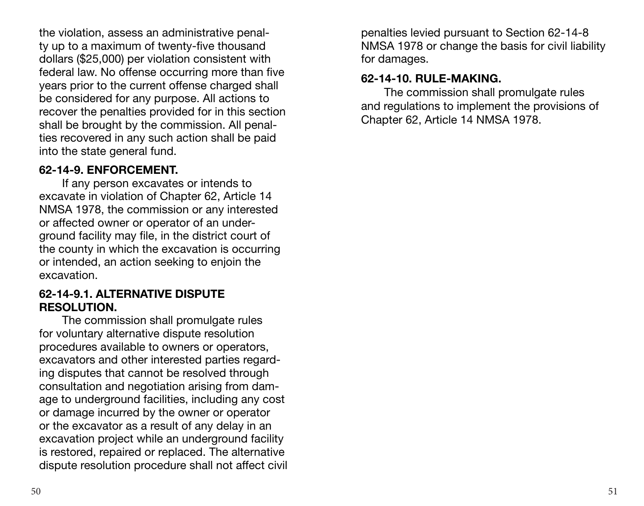the violation, assess an administrative penalty up to a maximum of twenty-five thousand dollars (\$25,000) per violation consistent with federal law. No offense occurring more than five years prior to the current offense charged shall be considered for any purpose. All actions to recover the penalties provided for in this section shall be brought by the commission. All penalties recovered in any such action shall be paid into the state general fund.

#### **62-14-9. ENFORCEMENT.**

If any person excavates or intends to excavate in violation of Chapter 62, Article 14 NMSA 1978, the commission or any interested or affected owner or operator of an underground facility may file, in the district court of the county in which the excavation is occurring or intended, an action seeking to enjoin the excavation.

#### **62-14-9.1. ALTERNATIVE DISPUTE RESOLUTION.**

The commission shall promulgate rules for voluntary alternative dispute resolution procedures available to owners or operators, excavators and other interested parties regarding disputes that cannot be resolved through consultation and negotiation arising from damage to underground facilities, including any cost or damage incurred by the owner or operator or the excavator as a result of any delay in an excavation project while an underground facility is restored, repaired or replaced. The alternative dispute resolution procedure shall not affect civil penalties levied pursuant to Section 62-14-8 NMSA 1978 or change the basis for civil liability for damages.

#### **62-14-10. RULE-MAKING.**

The commission shall promulgate rules and regulations to implement the provisions of Chapter 62, Article 14 NMSA 1978.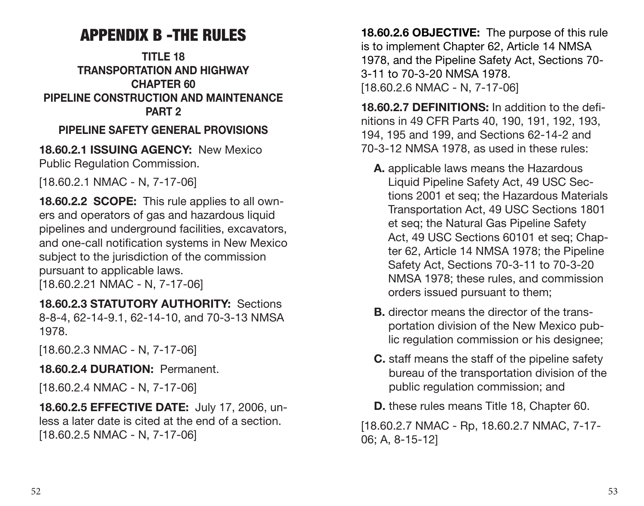## APPENDIX B -THE RULES

#### <span id="page-27-0"></span>**TITLE 18 TRANSPORTATION AND HIGHWAY CHAPTER 60 PIPELINE CONSTRUCTION AND MAINTENANCE PART 2**

#### **PIPELINE SAFETY GENERAL PROVISIONS**

**18.60.2.1 ISSUING AGENCY:** New Mexico Public Regulation Commission.

[18.60.2.1 NMAC - N, 7-17-06]

**18.60.2.2 SCOPE:** This rule applies to all owners and operators of gas and hazardous liquid pipelines and underground facilities, excavators, and one-call notification systems in New Mexico subject to the jurisdiction of the commission pursuant to applicable laws.

[18.60.2.21 NMAC - N, 7-17-06]

**18.60.2.3 STATUTORY AUTHORITY:** Sections 8-8-4, 62-14-9.1, 62-14-10, and 70-3-13 NMSA 1978.

[18.60.2.3 NMAC - N, 7-17-06]

**18.60.2.4 DURATION:** Permanent.

[18.60.2.4 NMAC - N, 7-17-06]

**18.60.2.5 EFFECTIVE DATE:** July 17, 2006, unless a later date is cited at the end of a section. [18.60.2.5 NMAC - N, 7-17-06]

**18.60.2.6 OBJECTIVE:** The purpose of this rule is to implement Chapter 62, Article 14 NMSA 1978, and the Pipeline Safety Act, Sections 70- 3-11 to 70-3-20 NMSA 1978. [18.60.2.6 NMAC - N, 7-17-06]

**18.60.2.7 DEFINITIONS:** In addition to the definitions in 49 CFR Parts 40, 190, 191, 192, 193, 194, 195 and 199, and Sections 62-14-2 and 70-3-12 NMSA 1978, as used in these rules:

- **A.** applicable laws means the Hazardous Liquid Pipeline Safety Act, 49 USC Sections 2001 et seq; the Hazardous Materials Transportation Act, 49 USC Sections 1801 et seq; the Natural Gas Pipeline Safety Act, 49 USC Sections 60101 et seq; Chapter 62, Article 14 NMSA 1978; the Pipeline Safety Act, Sections 70-3-11 to 70-3-20 NMSA 1978; these rules, and commission orders issued pursuant to them;
- **B.** director means the director of the transportation division of the New Mexico public regulation commission or his designee;
- **C.** staff means the staff of the pipeline safety bureau of the transportation division of the public regulation commission; and
- **D.** these rules means Title 18, Chapter 60.

[18.60.2.7 NMAC - Rp, 18.60.2.7 NMAC, 7-17- 06; A, 8-15-12]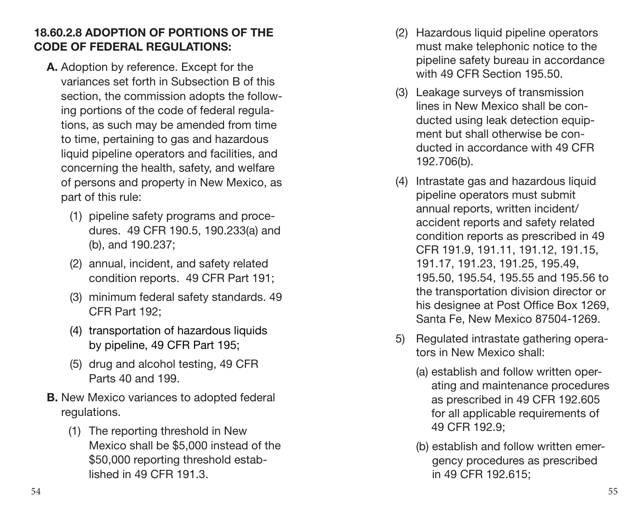#### **18.60.2.8 ADOPTION OF PORTIONS OF THE CODE OF FEDERAL REGULATIONS:**

- **A.** Adoption by reference. Except for the variances set forth in Subsection B of this section, the commission adopts the follow ing portions of the code of federal regula tions, as such may be amended from time to time, pertaining to gas and hazardous liquid pipeline operators and facilities, and concerning the health, safety, and welfare of persons and property in New Mexico, as part of this rule:
	- (1) pipeline safety programs and proce dures. 49 CFR 190.5, 190.233(a) and (b), and 190.237;
	- (2) annual, incident, and safety related condition reports. 49 CFR Part 191;
	- (3) minimum federal safety standards. 49 CFR Part 192;
	- (4) transportation of hazardous liquids by pipeline, 49 CFR Part 195;
	- (5) drug and alcohol testing, 49 CFR Parts 40 and 199.
- **B.** New Mexico variances to adopted federal regulations.
	- (1) The reporting threshold in New Mexico shall be \$5,000 instead of the \$50,000 reporting threshold estab lished in 49 CFR 191.3.
- (2) Hazardous liquid pipeline operators must make telephonic notice to the pipeline safety bureau in accordance with 49 CFR Section 195.50.
- (3) Leakage surveys of transmission lines in New Mexico shall be con ducted using leak detection equip ment but shall otherwise be con ducted in accordance with 49 CFR 192.706(b).
- (4) Intrastate gas and hazardous liquid pipeline operators must submit annual reports, written incident/ accident reports and safety related condition reports as prescribed in 49 CFR 191.9, 191.11, 191.12, 191.15, 191.17, 191.23, 191.25, 195.49, 195.50, 195.54, 195.55 and 195.56 to the transportation division director or his designee at Post Office Box 1269, Santa Fe, New Mexico 87504-1269.
- 5) Regulated intrastate gathering opera tors in New Mexico shall:
	- (a) establish and follow written operating and maintenance procedures as prescribed in 49 CFR 192.605 for all applicable requirements of 49 CFR 192.9;
	- (b) establish and follow written emergency procedures as prescribed in 49 CFR 192.615;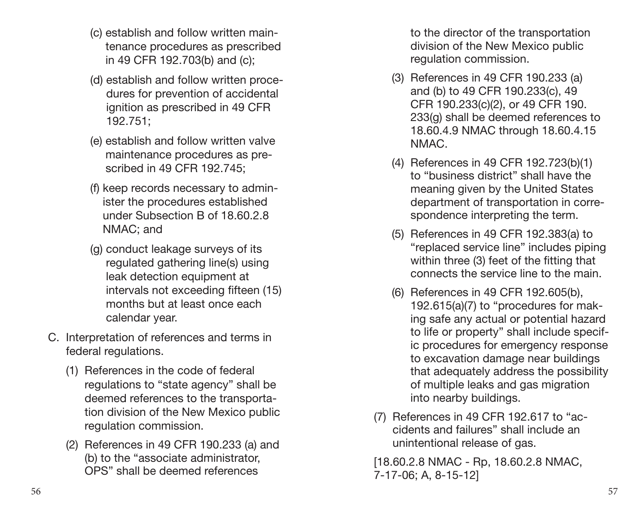- (c) establish and follow written maintenance procedures as prescribed in 49 CFR 192.703(b) and (c);
- (d) establish and follow written procedures for prevention of accidental ignition as prescribed in 49 CFR 192.751;
- (e) establish and follow written valve maintenance procedures as prescribed in 49 CFR 192.745;
- (f) keep records necessary to administer the procedures established under Subsection B of 18.60.2.8 NMAC; and
- (g) conduct leakage surveys of its regulated gathering line(s) using leak detection equipment at intervals not exceeding fifteen (15) months but at least once each calendar year.
- C. Interpretation of references and terms in federal regulations.
	- (1) References in the code of federal regulations to "state agency" shall be deemed references to the transportation division of the New Mexico public regulation commission.
	- (2) References in 49 CFR 190.233 (a) and (b) to the "associate administrator, OPS" shall be deemed references

to the director of the transportation division of the New Mexico public regulation commission.

- (3) References in 49 CFR 190.233 (a) and (b) to 49 CFR 190.233(c), 49 CFR 190.233(c)(2), or 49 CFR 190. 233(g) shall be deemed references to 18.60.4.9 NMAC through 18.60.4.15 NMAC.
- (4) References in 49 CFR 192.723(b)(1) to "business district" shall have the meaning given by the United States department of transportation in correspondence interpreting the term.
- (5) References in 49 CFR 192.383(a) to "replaced service line" includes piping within three (3) feet of the fitting that connects the service line to the main.
- (6) References in 49 CFR 192.605(b), 192.615(a)(7) to "procedures for making safe any actual or potential hazard to life or property" shall include specific procedures for emergency response to excavation damage near buildings that adequately address the possibility of multiple leaks and gas migration into nearby buildings.
- (7) References in 49 CFR 192.617 to "accidents and failures" shall include an unintentional release of gas.

[18.60.2.8 NMAC - Rp, 18.60.2.8 NMAC, 7-17-06; A, 8-15-12]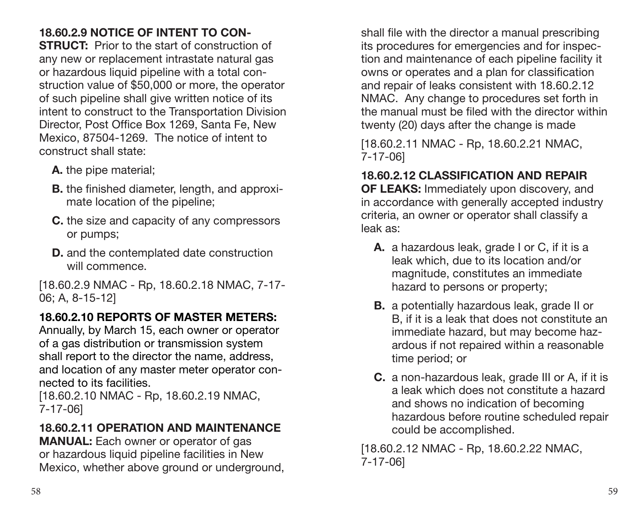## **18.60.2.9 NOTICE OF INTENT TO CON-**

**STRUCT:** Prior to the start of construction of any new or replacement intrastate natural gas or hazardous liquid pipeline with a total construction value of \$50,000 or more, the operator of such pipeline shall give written notice of its intent to construct to the Transportation Division Director, Post Office Box 1269, Santa Fe, New Mexico, 87504-1269. The notice of intent to construct shall state:

- **A.** the pipe material;
- **B.** the finished diameter, length, and approximate location of the pipeline;
- **C.** the size and capacity of any compressors or pumps;
- **D.** and the contemplated date construction will commence.

[18.60.2.9 NMAC - Rp, 18.60.2.18 NMAC, 7-17- 06; A, 8-15-12]

## **18.60.2.10 REPORTS OF MASTER METERS:**

Annually, by March 15, each owner or operator of a gas distribution or transmission system shall report to the director the name, address, and location of any master meter operator connected to its facilities.

[18.60.2.10 NMAC - Rp, 18.60.2.19 NMAC, 7-17-06]

## **18.60.2.11 OPERATION AND MAINTENANCE**

**MANUAL:** Each owner or operator of gas or hazardous liquid pipeline facilities in New Mexico, whether above ground or underground. shall file with the director a manual prescribing its procedures for emergencies and for inspection and maintenance of each pipeline facility it owns or operates and a plan for classification and repair of leaks consistent with 18.60.2.12 NMAC. Any change to procedures set forth in the manual must be filed with the director within twenty (20) days after the change is made

[18.60.2.11 NMAC - Rp, 18.60.2.21 NMAC, 7-17-06]

#### **18.60.2.12 CLASSIFICATION AND REPAIR**

**OF LEAKS:** Immediately upon discovery, and in accordance with generally accepted industry criteria, an owner or operator shall classify a leak as:

- **A.** a hazardous leak, grade I or C, if it is a leak which, due to its location and/or magnitude, constitutes an immediate hazard to persons or property;
- **B.** a potentially hazardous leak, grade II or B, if it is a leak that does not constitute an immediate hazard, but may become hazardous if not repaired within a reasonable time period; or
- **C.** a non-hazardous leak, grade III or A, if it is a leak which does not constitute a hazard and shows no indication of becoming hazardous before routine scheduled repair could be accomplished.

[18.60.2.12 NMAC - Rp, 18.60.2.22 NMAC, 7-17-06]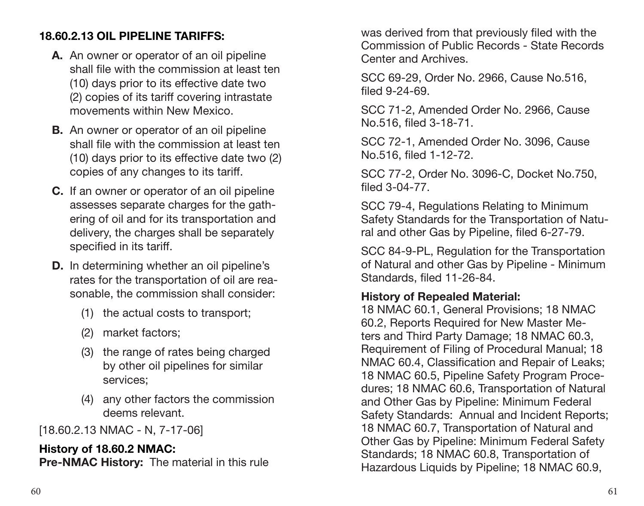#### **18.60.2.13 OIL PIPELINE TARIFFS:**

- **A.** An owner or operator of an oil pipeline shall file with the commission at least ten (10) days prior to its effective date two (2) copies of its tariff covering intrastate movements within New Mexico.
- **B.** An owner or operator of an oil pipeline shall file with the commission at least ten (10) days prior to its effective date two (2) copies of any changes to its tariff.
- **C.** If an owner or operator of an oil pipeline assesses separate charges for the gathering of oil and for its transportation and delivery, the charges shall be separately specified in its tariff.
- **D.** In determining whether an oil pipeline's rates for the transportation of oil are reasonable, the commission shall consider:
	- (1) the actual costs to transport;
	- (2) market factors;
	- (3) the range of rates being charged by other oil pipelines for similar services;
	- (4) any other factors the commission deems relevant.

[18.60.2.13 NMAC - N, 7-17-06]

#### **History of 18.60.2 NMAC:**

**Pre-NMAC History:** The material in this rule

was derived from that previously filed with the Commission of Public Records - State Records Center and Archives.

SCC 69-29, Order No. 2966, Cause No.516, filed 9-24-69.

SCC 71-2, Amended Order No. 2966, Cause No.516, filed 3-18-71.

SCC 72-1, Amended Order No. 3096, Cause No.516, filed 1-12-72.

SCC 77-2, Order No. 3096-C, Docket No.750, filed 3-04-77.

SCC 79-4, Regulations Relating to Minimum Safety Standards for the Transportation of Natural and other Gas by Pipeline, filed 6-27-79.

SCC 84-9-PL, Regulation for the Transportation of Natural and other Gas by Pipeline - Minimum Standards, filed 11-26-84.

#### **History of Repealed Material:**

18 NMAC 60.1, General Provisions; 18 NMAC 60.2, Reports Required for New Master Meters and Third Party Damage; 18 NMAC 60.3, Requirement of Filing of Procedural Manual; 18 NMAC 60.4, Classification and Repair of Leaks; 18 NMAC 60.5, Pipeline Safety Program Procedures; 18 NMAC 60.6, Transportation of Natural and Other Gas by Pipeline: Minimum Federal Safety Standards: Annual and Incident Reports; 18 NMAC 60.7, Transportation of Natural and Other Gas by Pipeline: Minimum Federal Safety Standards; 18 NMAC 60.8, Transportation of Hazardous Liquids by Pipeline; 18 NMAC 60.9,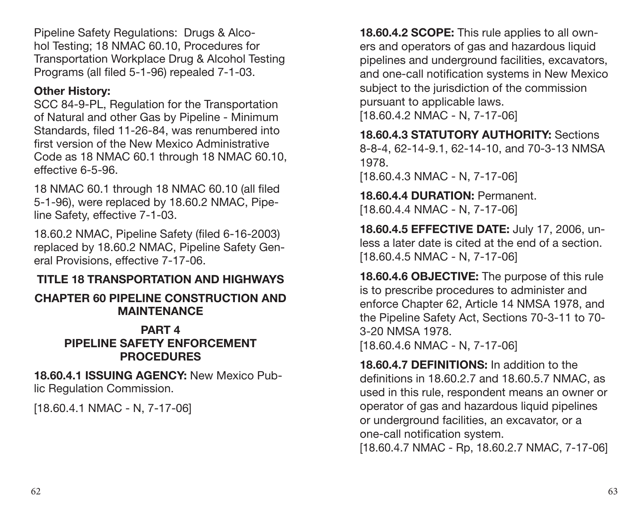Pipeline Safety Regulations: Drugs & Alcohol Testing; 18 NMAC 60.10, Procedures for Transportation Workplace Drug & Alcohol Testing Programs (all filed 5-1-96) repealed 7-1-03.

#### **Other History:**

SCC 84-9-PL, Regulation for the Transportation of Natural and other Gas by Pipeline - Minimum Standards, filed 11-26-84, was renumbered into first version of the New Mexico Administrative Code as 18 NMAC 60.1 through 18 NMAC 60.10, effective 6-5-96.

18 NMAC 60.1 through 18 NMAC 60.10 (all filed 5-1-96), were replaced by 18.60.2 NMAC, Pipeline Safety, effective 7-1-03.

18.60.2 NMAC, Pipeline Safety (filed 6-16-2003) replaced by 18.60.2 NMAC, Pipeline Safety General Provisions, effective 7-17-06.

#### **TITLE 18 TRANSPORTATION AND HIGHWAYS**

#### **CHAPTER 60 PIPELINE CONSTRUCTION AND MAINTENANCE**

#### **PART 4 PIPELINE SAFETY ENFORCEMENT PROCEDURES**

**18.60.4.1 ISSUING AGENCY:** New Mexico Public Regulation Commission.

[18.60.4.1 NMAC - N, 7-17-06]

**18.60.4.2 SCOPE:** This rule applies to all owners and operators of gas and hazardous liquid pipelines and underground facilities, excavators, and one-call notification systems in New Mexico subject to the jurisdiction of the commission pursuant to applicable laws.

[18.60.4.2 NMAC - N, 7-17-06]

**18.60.4.3 STATUTORY AUTHORITY:** Sections 8-8-4, 62-14-9.1, 62-14-10, and 70-3-13 NMSA 1978.

[18.60.4.3 NMAC - N, 7-17-06]

**18.60.4.4 DURATION:** Permanent. [18.60.4.4 NMAC - N, 7-17-06]

**18.60.4.5 EFFECTIVE DATE:** July 17, 2006, unless a later date is cited at the end of a section. [18.60.4.5 NMAC - N, 7-17-06]

**18.60.4.6 OBJECTIVE:** The purpose of this rule is to prescribe procedures to administer and enforce Chapter 62, Article 14 NMSA 1978, and the Pipeline Safety Act, Sections 70-3-11 to 70- 3-20 NMSA 1978. [18.60.4.6 NMAC - N, 7-17-06]

**18.60.4.7 DEFINITIONS:** In addition to the definitions in 18.60.2.7 and 18.60.5.7 NMAC, as used in this rule, respondent means an owner or operator of gas and hazardous liquid pipelines or underground facilities, an excavator, or a one-call notification system.

[18.60.4.7 NMAC - Rp, 18.60.2.7 NMAC, 7-17-06]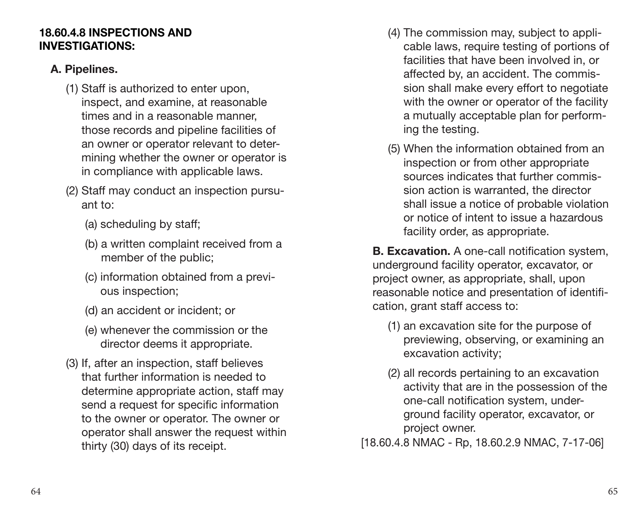#### **18.60.4.8 INSPECTIONS AND INVESTIGATIONS:**

#### **A. Pipelines.**

- (1) Staff is authorized to enter upon, inspect, and examine, at reasonable times and in a reasonable manner, those records and pipeline facilities of an owner or operator relevant to determining whether the owner or operator is in compliance with applicable laws.
- (2) Staff may conduct an inspection pursuant to:
	- (a) scheduling by staff;
	- (b) a written complaint received from a member of the public;
	- (c) information obtained from a previous inspection;
	- (d) an accident or incident; or
	- (e) whenever the commission or the director deems it appropriate.
- (3) If, after an inspection, staff believes that further information is needed to determine appropriate action, staff may send a request for specific information to the owner or operator. The owner or operator shall answer the request within thirty (30) days of its receipt.
- (4) The commission may, subject to applicable laws, require testing of portions of facilities that have been involved in, or affected by, an accident. The commission shall make every effort to negotiate with the owner or operator of the facility a mutually acceptable plan for performing the testing.
- (5) When the information obtained from an inspection or from other appropriate sources indicates that further commission action is warranted, the director shall issue a notice of probable violation or notice of intent to issue a hazardous facility order, as appropriate.

**B. Excavation.** A one-call notification system, underground facility operator, excavator, or project owner, as appropriate, shall, upon reasonable notice and presentation of identification, grant staff access to:

- (1) an excavation site for the purpose of previewing, observing, or examining an excavation activity;
- (2) all records pertaining to an excavation activity that are in the possession of the one-call notification system, underground facility operator, excavator, or project owner.
- [18.60.4.8 NMAC Rp, 18.60.2.9 NMAC, 7-17-06]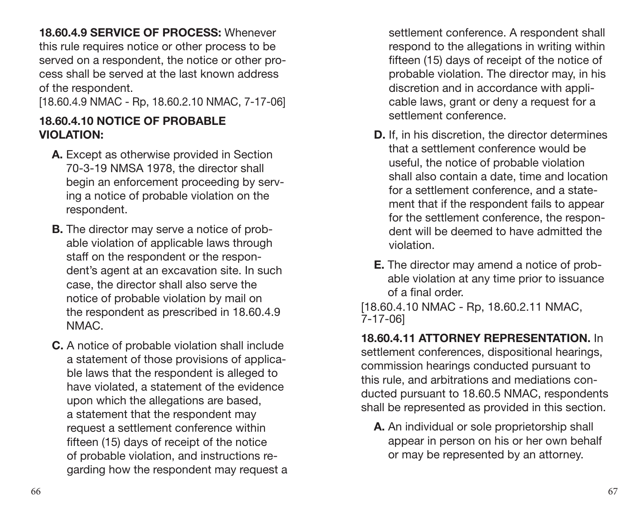**18.60.4.9 SERVICE OF PROCESS:** Whenever this rule requires notice or other process to be served on a respondent, the notice or other process shall be served at the last known address of the respondent.

[18.60.4.9 NMAC - Rp, 18.60.2.10 NMAC, 7-17-06]

#### **18.60.4.10 NOTICE OF PROBABLE VIOLATION:**

- **A.** Except as otherwise provided in Section 70-3-19 NMSA 1978, the director shall begin an enforcement proceeding by serving a notice of probable violation on the respondent.
- **B.** The director may serve a notice of probable violation of applicable laws through staff on the respondent or the respondent's agent at an excavation site. In such case, the director shall also serve the notice of probable violation by mail on the respondent as prescribed in 18.60.4.9 NMAC.
- **C.** A notice of probable violation shall include a statement of those provisions of applicable laws that the respondent is alleged to have violated, a statement of the evidence upon which the allegations are based, a statement that the respondent may request a settlement conference within fifteen (15) days of receipt of the notice of probable violation, and instructions regarding how the respondent may request a

settlement conference. A respondent shall respond to the allegations in writing within fifteen (15) days of receipt of the notice of probable violation. The director may, in his discretion and in accordance with applicable laws, grant or deny a request for a settlement conference.

- **D.** If, in his discretion, the director determines that a settlement conference would be useful, the notice of probable violation shall also contain a date, time and location for a settlement conference, and a statement that if the respondent fails to appear for the settlement conference, the respondent will be deemed to have admitted the violation.
- **E.** The director may amend a notice of probable violation at any time prior to issuance of a final order.

[18.60.4.10 NMAC - Rp, 18.60.2.11 NMAC, 7-17-06]

**18.60.4.11 ATTORNEY REPRESENTATION.** In settlement conferences, dispositional hearings, commission hearings conducted pursuant to this rule, and arbitrations and mediations conducted pursuant to 18.60.5 NMAC, respondents shall be represented as provided in this section.

**A.** An individual or sole proprietorship shall appear in person on his or her own behalf or may be represented by an attorney.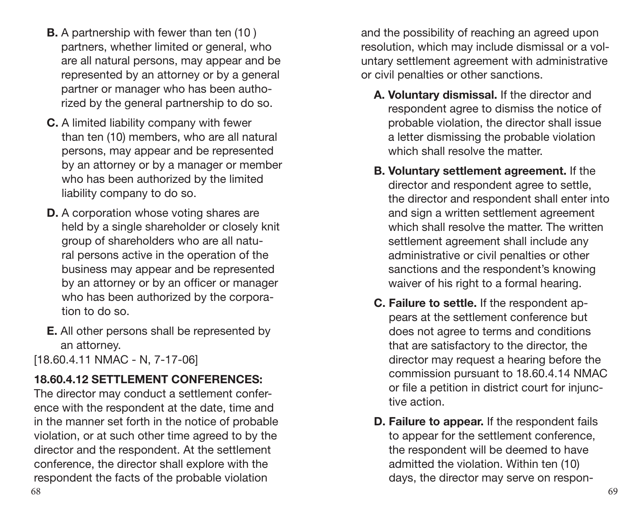- **B.** A partnership with fewer than ten (10 ) partners, whether limited or general, who are all natural persons, may appear and be represented by an attorney or by a general partner or manager who has been authorized by the general partnership to do so.
- **C.** A limited liability company with fewer than ten (10) members, who are all natural persons, may appear and be represented by an attorney or by a manager or member who has been authorized by the limited liability company to do so.
- **D.** A corporation whose voting shares are held by a single shareholder or closely knit group of shareholders who are all natural persons active in the operation of the business may appear and be represented by an attorney or by an officer or manager who has been authorized by the corporation to do so.
- **E.** All other persons shall be represented by an attorney.

[18.60.4.11 NMAC - N, 7-17-06]

#### **18.60.4.12 SETTLEMENT CONFERENCES:**

The director may conduct a settlement conference with the respondent at the date, time and in the manner set forth in the notice of probable violation, or at such other time agreed to by the director and the respondent. At the settlement conference, the director shall explore with the respondent the facts of the probable violation

and the possibility of reaching an agreed upon resolution, which may include dismissal or a voluntary settlement agreement with administrative or civil penalties or other sanctions.

- **A. Voluntary dismissal.** If the director and respondent agree to dismiss the notice of probable violation, the director shall issue a letter dismissing the probable violation which shall resolve the matter.
- **B. Voluntary settlement agreement.** If the director and respondent agree to settle, the director and respondent shall enter into and sign a written settlement agreement which shall resolve the matter. The written settlement agreement shall include any administrative or civil penalties or other sanctions and the respondent's knowing waiver of his right to a formal hearing.
- **C. Failure to settle.** If the respondent appears at the settlement conference but does not agree to terms and conditions that are satisfactory to the director, the director may request a hearing before the commission pursuant to 18.60.4.14 NMAC or file a petition in district court for injunctive action.
- **D. Failure to appear.** If the respondent fails to appear for the settlement conference, the respondent will be deemed to have admitted the violation. Within ten (10) days, the director may serve on respon-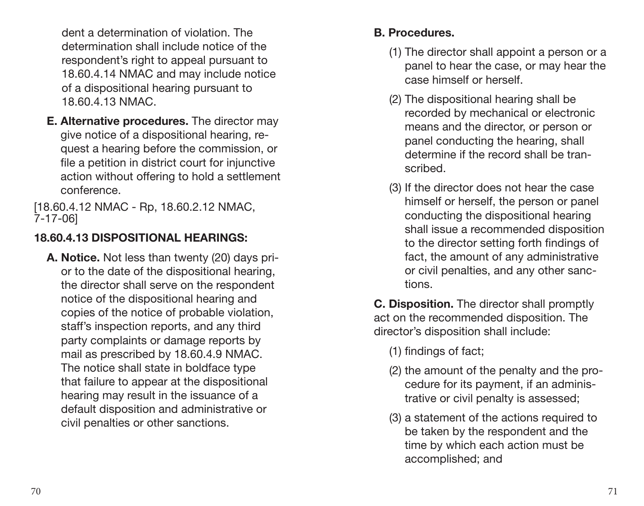dent a determination of violation. The determination shall include notice of the respondent's right to appeal pursuant to 18.60.4.14 NMAC and may include notice of a dispositional hearing pursuant to 18.60.4.13 NMAC.

**E. Alternative procedures.** The director may give notice of a dispositional hearing, request a hearing before the commission, or file a petition in district court for injunctive action without offering to hold a settlement conference.

[18.60.4.12 NMAC - Rp, 18.60.2.12 NMAC, 7-17-06]

#### **18.60.4.13 DISPOSITIONAL HEARINGS:**

**A. Notice.** Not less than twenty (20) days prior to the date of the dispositional hearing, the director shall serve on the respondent notice of the dispositional hearing and copies of the notice of probable violation, staff's inspection reports, and any third party complaints or damage reports by mail as prescribed by 18.60.4.9 NMAC. The notice shall state in boldface type that failure to appear at the dispositional hearing may result in the issuance of a default disposition and administrative or civil penalties or other sanctions.

#### **B. Procedures.**

- (1) The director shall appoint a person or a panel to hear the case, or may hear the case himself or herself.
- (2) The dispositional hearing shall be recorded by mechanical or electronic means and the director, or person or panel conducting the hearing, shall determine if the record shall be transcribed.
- (3) If the director does not hear the case himself or herself, the person or panel conducting the dispositional hearing shall issue a recommended disposition to the director setting forth findings of fact, the amount of any administrative or civil penalties, and any other sanctions.

**C. Disposition.** The director shall promptly act on the recommended disposition. The director's disposition shall include:

- (1) findings of fact;
- (2) the amount of the penalty and the procedure for its payment, if an administrative or civil penalty is assessed;
- (3) a statement of the actions required to be taken by the respondent and the time by which each action must be accomplished; and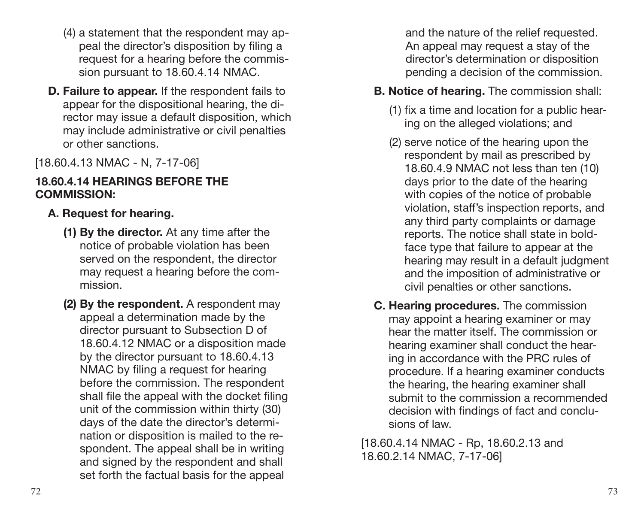- (4) a statement that the respondent may appeal the director's disposition by filing a request for a hearing before the commission pursuant to 18.60.4.14 NMAC.
- **D. Failure to appear.** If the respondent fails to appear for the dispositional hearing, the director may issue a default disposition, which may include administrative or civil penalties or other sanctions.

[18.60.4.13 NMAC - N, 7-17-06]

#### **18.60.4.14 HEARINGS BEFORE THE COMMISSION:**

#### **A. Request for hearing.**

- **(1) By the director.** At any time after the notice of probable violation has been served on the respondent, the director may request a hearing before the commission.
- **(2) By the respondent.** A respondent may appeal a determination made by the director pursuant to Subsection D of 18.60.4.12 NMAC or a disposition made by the director pursuant to 18.60.4.13 NMAC by filing a request for hearing before the commission. The respondent shall file the appeal with the docket filing unit of the commission within thirty (30) days of the date the director's determination or disposition is mailed to the respondent. The appeal shall be in writing and signed by the respondent and shall set forth the factual basis for the appeal

and the nature of the relief requested. An appeal may request a stay of the director's determination or disposition pending a decision of the commission.

#### **B. Notice of hearing.** The commission shall:

- (1) fix a time and location for a public hearing on the alleged violations; and
- (2) serve notice of the hearing upon the respondent by mail as prescribed by 18.60.4.9 NMAC not less than ten (10) days prior to the date of the hearing with copies of the notice of probable violation, staff's inspection reports, and any third party complaints or damage reports. The notice shall state in boldface type that failure to appear at the hearing may result in a default judgment and the imposition of administrative or civil penalties or other sanctions.
- **C. Hearing procedures.** The commission may appoint a hearing examiner or may hear the matter itself. The commission or hearing examiner shall conduct the hearing in accordance with the PRC rules of procedure. If a hearing examiner conducts the hearing, the hearing examiner shall submit to the commission a recommended decision with findings of fact and conclusions of law.

[18.60.4.14 NMAC - Rp, 18.60.2.13 and 18.60.2.14 NMAC, 7-17-06]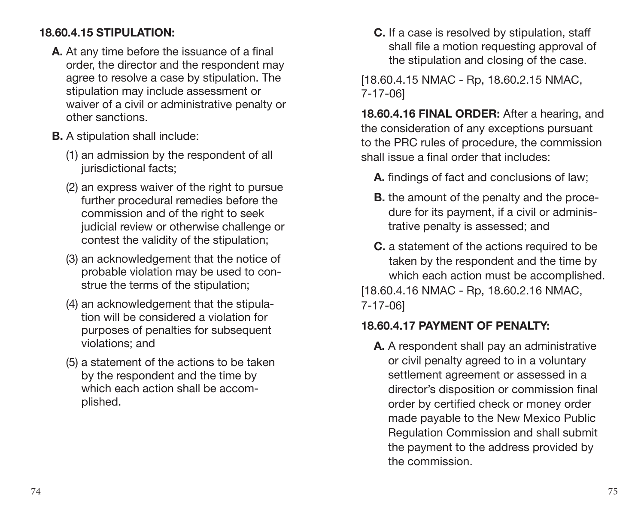#### **18.60.4.15 STIPULATION:**

- **A.** At any time before the issuance of a final order, the director and the respondent may agree to resolve a case by stipulation. The stipulation may include assessment or waiver of a civil or administrative penalty or other sanctions.
- **B.** A stipulation shall include:
	- (1) an admission by the respondent of all jurisdictional facts:
	- (2) an express waiver of the right to pursue further procedural remedies before the commission and of the right to seek judicial review or otherwise challenge or contest the validity of the stipulation;
	- (3) an acknowledgement that the notice of probable violation may be used to construe the terms of the stipulation;
	- (4) an acknowledgement that the stipulation will be considered a violation for purposes of penalties for subsequent violations; and
	- (5) a statement of the actions to be taken by the respondent and the time by which each action shall be accomplished.

**C.** If a case is resolved by stipulation, staff shall file a motion requesting approval of the stipulation and closing of the case.

[18.60.4.15 NMAC - Rp, 18.60.2.15 NMAC, 7-17-06]

**18.60.4.16 FINAL ORDER:** After a hearing, and the consideration of any exceptions pursuant to the PRC rules of procedure, the commission shall issue a final order that includes:

- **A.** findings of fact and conclusions of law;
- **B.** the amount of the penalty and the procedure for its payment, if a civil or administrative penalty is assessed; and
- **C.** a statement of the actions required to be taken by the respondent and the time by which each action must be accomplished. [18.60.4.16 NMAC - Rp, 18.60.2.16 NMAC, 7-17-06]

#### **18.60.4.17 PAYMENT OF PENALTY:**

**A.** A respondent shall pay an administrative or civil penalty agreed to in a voluntary settlement agreement or assessed in a director's disposition or commission final order by certified check or money order made payable to the New Mexico Public Regulation Commission and shall submit the payment to the address provided by the commission.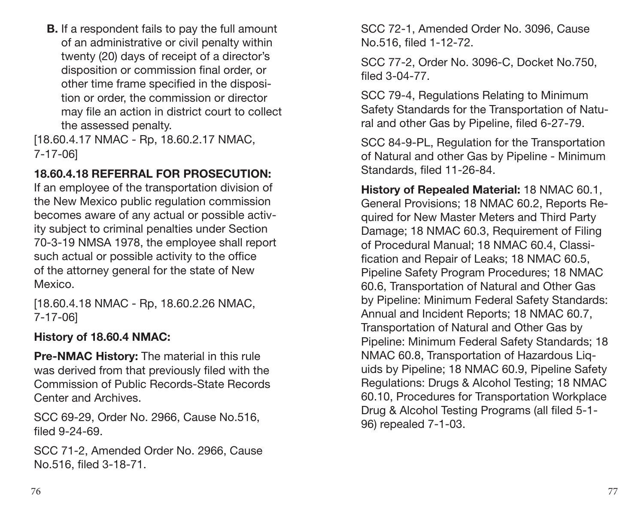**B.** If a respondent fails to pay the full amount of an administrative or civil penalty within twenty (20) days of receipt of a director's disposition or commission final order, or other time frame specified in the disposition or order, the commission or director may file an action in district court to collect the assessed penalty.

[18.60.4.17 NMAC - Rp, 18.60.2.17 NMAC, 7-17-06]

#### **18.60.4.18 REFERRAL FOR PROSECUTION:**

If an employee of the transportation division of the New Mexico public regulation commission becomes aware of any actual or possible activity subject to criminal penalties under Section 70-3-19 NMSA 1978, the employee shall report such actual or possible activity to the office of the attorney general for the state of New Mexico.

[18.60.4.18 NMAC - Rp, 18.60.2.26 NMAC, 7-17-06]

#### **History of 18.60.4 NMAC:**

**Pre-NMAC History:** The material in this rule was derived from that previously filed with the Commission of Public Records-State Records Center and Archives.

SCC 69-29, Order No. 2966, Cause No.516, filed 9-24-69.

SCC 71-2, Amended Order No. 2966, Cause No.516, filed 3-18-71.

SCC 72-1, Amended Order No. 3096, Cause No.516, filed 1-12-72.

SCC 77-2, Order No. 3096-C, Docket No.750, filed 3-04-77.

SCC 79-4, Regulations Relating to Minimum Safety Standards for the Transportation of Natural and other Gas by Pipeline, filed 6-27-79.

SCC 84-9-PL, Regulation for the Transportation of Natural and other Gas by Pipeline - Minimum Standards, filed 11-26-84.

**History of Repealed Material:** 18 NMAC 60.1, General Provisions; 18 NMAC 60.2, Reports Required for New Master Meters and Third Party Damage; 18 NMAC 60.3, Requirement of Filing of Procedural Manual; 18 NMAC 60.4, Classification and Repair of Leaks; 18 NMAC 60.5, Pipeline Safety Program Procedures; 18 NMAC 60.6, Transportation of Natural and Other Gas by Pipeline: Minimum Federal Safety Standards: Annual and Incident Reports; 18 NMAC 60.7, Transportation of Natural and Other Gas by Pipeline: Minimum Federal Safety Standards; 18 NMAC 60.8, Transportation of Hazardous Liquids by Pipeline; 18 NMAC 60.9, Pipeline Safety Regulations: Drugs & Alcohol Testing; 18 NMAC 60.10, Procedures for Transportation Workplace Drug & Alcohol Testing Programs (all filed 5-1- 96) repealed 7-1-03.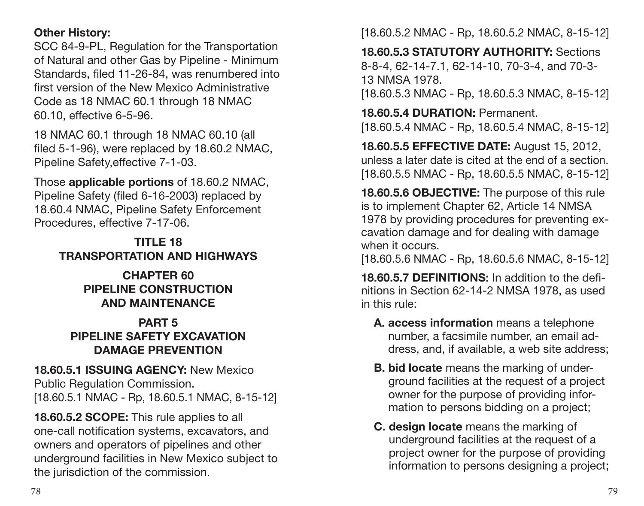#### **Other History:**

SCC 84-9-PL, Regulation for the Transportation of Natural and other Gas by Pipeline - Minimum Standards, filed 11-26-84, was renumbered into first version of the New Mexico Administrative Code as 18 NMAC 60.1 through 18 NMAC 60.10, effective 6-5-96.

18 NMAC 60.1 through 18 NMAC 60.10 (all filed 5-1-96), were replaced by 18.60.2 NMAC, Pipeline Safety,effective 7-1-03.

Those **applicable portions** of 18.60.2 NMAC, Pipeline Safety (filed 6-16-2003) replaced by 18.60.4 NMAC, Pipeline Safety Enforcement Procedures, effective 7-17-06.

#### **TITLE 18 TRANSPORTATION AND HIGHWAYS**

#### **CHAPTER 60 PIPELINE CONSTRUCTION AND MAINTENANCE**

#### **PART 5 PIPELINE SAFETY EXCAVATION DAMAGE PREVENTION**

#### **18.60.5.1 ISSUING AGENCY:** New Mexico Public Regulation Commission. [18.60.5.1 NMAC - Rp, 18.60.5.1 NMAC, 8-15-12]

**18.60.5.2 SCOPE:** This rule applies to all one-call notification systems, excavators, and owners and operators of pipelines and other underground facilities in New Mexico subject to the jurisdiction of the commission.

[18.60.5.2 NMAC - Rp, 18.60.5.2 NMAC, 8-15-12]

**18.60.5.3 STATUTORY AUTHORITY:** Sections 8-8-4, 62-14-7.1, 62-14-10, 70-3-4, and 70-3- 13 NMSA 1978.

[18.60.5.3 NMAC - Rp, 18.60.5.3 NMAC, 8-15-12]

**18.60.5.4 DURATION:** Permanent. [18.60.5.4 NMAC - Rp, 18.60.5.4 NMAC, 8-15-12]

**18.60.5.5 EFFECTIVE DATE:** August 15, 2012, unless a later date is cited at the end of a section. [18.60.5.5 NMAC - Rp, 18.60.5.5 NMAC, 8-15-12]

**18.60.5.6 OBJECTIVE:** The purpose of this rule is to implement Chapter 62, Article 14 NMSA 1978 by providing procedures for preventing excavation damage and for dealing with damage when it occurs.

[18.60.5.6 NMAC - Rp, 18.60.5.6 NMAC, 8-15-12]

**18.60.5.7 DEFINITIONS:** In addition to the definitions in Section 62-14-2 NMSA 1978, as used in this rule:

- **A. access information** means a telephone number, a facsimile number, an email address, and, if available, a web site address;
- **B. bid locate** means the marking of underground facilities at the request of a project owner for the purpose of providing information to persons bidding on a project;
- **C. design locate** means the marking of underground facilities at the request of a project owner for the purpose of providing information to persons designing a project;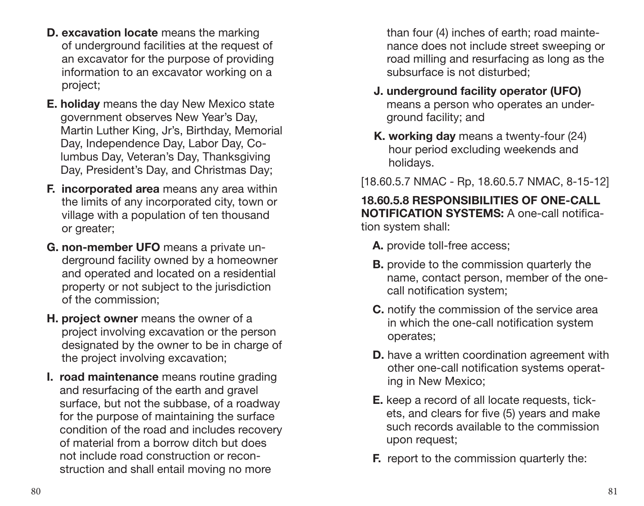- **D. excavation locate** means the marking of underground facilities at the request of an excavator for the purpose of providing information to an excavator working on a project;
- **E. holiday** means the day New Mexico state government observes New Year's Day, Martin Luther King, Jr's, Birthday, Memorial Day, Independence Day, Labor Day, Columbus Day, Veteran's Day, Thanksgiving Day, President's Day, and Christmas Day;
- **F. incorporated area** means any area within the limits of any incorporated city, town or village with a population of ten thousand or greater;
- **G. non-member UFO** means a private underground facility owned by a homeowner and operated and located on a residential property or not subject to the jurisdiction of the commission;
- **H. project owner** means the owner of a project involving excavation or the person designated by the owner to be in charge of the project involving excavation;
- **I. road maintenance** means routine grading and resurfacing of the earth and gravel surface, but not the subbase, of a roadway for the purpose of maintaining the surface condition of the road and includes recovery of material from a borrow ditch but does not include road construction or reconstruction and shall entail moving no more

than four (4) inches of earth; road maintenance does not include street sweeping or road milling and resurfacing as long as the subsurface is not disturbed;

- **J. underground facility operator (UFO)** means a person who operates an underground facility; and
- **K. working day** means a twenty-four (24) hour period excluding weekends and holidays.

[18.60.5.7 NMAC - Rp, 18.60.5.7 NMAC, 8-15-12]

**18.60.5.8 RESPONSIBILITIES OF ONE-CALL NOTIFICATION SYSTEMS:** A one-call notification system shall:

- **A.** provide toll-free access;
- **B.** provide to the commission quarterly the name, contact person, member of the onecall notification system;
- **C.** notify the commission of the service area in which the one-call notification system operates;
- **D.** have a written coordination agreement with other one-call notification systems operating in New Mexico;
- **E.** keep a record of all locate requests, tickets, and clears for five (5) years and make such records available to the commission upon request;
- **F.** report to the commission quarterly the: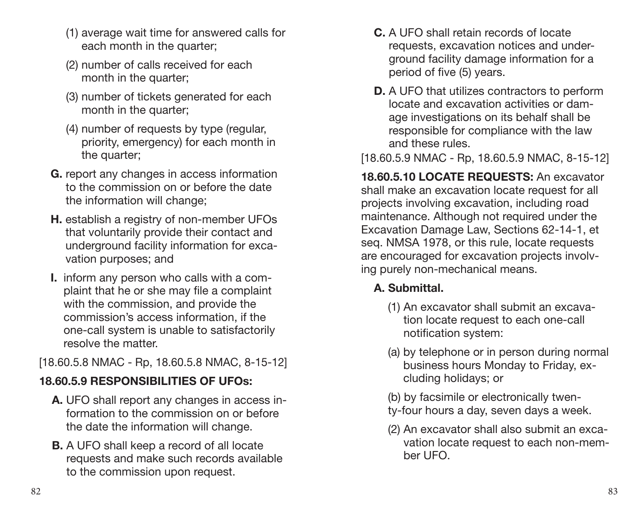- (1) average wait time for answered calls for each month in the quarter:
- (2) number of calls received for each month in the quarter:
- (3) number of tickets generated for each month in the quarter:
- (4) number of requests by type (regular, priority, emergency) for each month in the quarter;
- **G.** report any changes in access information to the commission on or before the date the information will change;
- **H.** establish a registry of non-member UFOs that voluntarily provide their contact and underground facility information for excavation purposes; and
- **I.** inform any person who calls with a complaint that he or she may file a complaint with the commission, and provide the commission's access information, if the one-call system is unable to satisfactorily resolve the matter.

[18.60.5.8 NMAC - Rp, 18.60.5.8 NMAC, 8-15-12]

### **18.60.5.9 RESPONSIBILITIES OF UFOs:**

- **A.** UFO shall report any changes in access information to the commission on or before the date the information will change.
- **B.** A UFO shall keep a record of all locate requests and make such records available to the commission upon request.
- **C.** A UFO shall retain records of locate requests, excavation notices and underground facility damage information for a period of five (5) years.
- **D.** A UFO that utilizes contractors to perform locate and excavation activities or damage investigations on its behalf shall be responsible for compliance with the law and these rules.

[18.60.5.9 NMAC - Rp, 18.60.5.9 NMAC, 8-15-12]

**18.60.5.10 LOCATE REQUESTS:** An excavator shall make an excavation locate request for all projects involving excavation, including road maintenance. Although not required under the Excavation Damage Law, Sections 62-14-1, et seq. NMSA 1978, or this rule, locate requests are encouraged for excavation projects involving purely non-mechanical means.

#### **A. Submittal.**

- (1) An excavator shall submit an excavation locate request to each one-call notification system:
- (a) by telephone or in person during normal business hours Monday to Friday, excluding holidays; or
- (b) by facsimile or electronically twen-
- ty-four hours a day, seven days a week.
- (2) An excavator shall also submit an excavation locate request to each non-member UFO.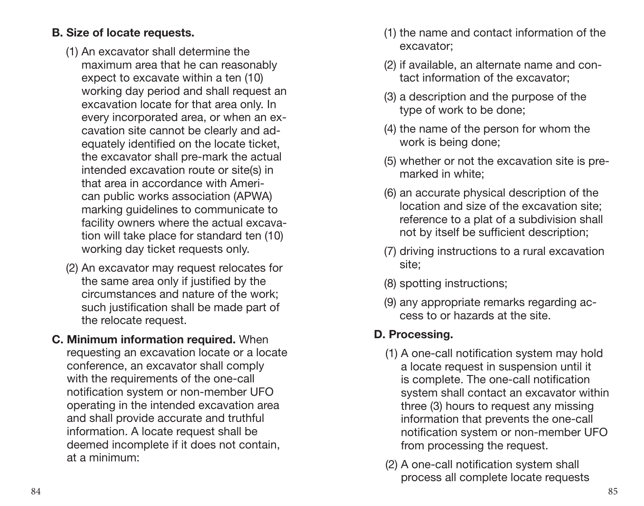#### **B. Size of locate requests.**

- (1) An excavator shall determine the maximum area that he can reasonably expect to excavate within a ten (10) working day period and shall request an excavation locate for that area only. In every incorporated area, or when an excavation site cannot be clearly and adequately identified on the locate ticket, the excavator shall pre-mark the actual intended excavation route or site(s) in that area in accordance with American public works association (APWA) marking guidelines to communicate to facility owners where the actual excavation will take place for standard ten (10) working day ticket requests only.
- (2) An excavator may request relocates for the same area only if justified by the circumstances and nature of the work; such justification shall be made part of the relocate request.
- **C. Minimum information required.** When requesting an excavation locate or a locate conference, an excavator shall comply with the requirements of the one-call notification system or non-member UFO operating in the intended excavation area and shall provide accurate and truthful information. A locate request shall be deemed incomplete if it does not contain, at a minimum:
- (1) the name and contact information of the excavator;
- (2) if available, an alternate name and contact information of the excavator;
- (3) a description and the purpose of the type of work to be done;
- (4) the name of the person for whom the work is being done;
- (5) whether or not the excavation site is premarked in white;
- (6) an accurate physical description of the location and size of the excavation site; reference to a plat of a subdivision shall not by itself be sufficient description;
- (7) driving instructions to a rural excavation site;
- (8) spotting instructions;
- (9) any appropriate remarks regarding access to or hazards at the site.

#### **D. Processing.**

- (1) A one-call notification system may hold a locate request in suspension until it is complete. The one-call notification system shall contact an excavator within three (3) hours to request any missing information that prevents the one-call notification system or non-member UFO from processing the request.
- (2) A one-call notification system shall process all complete locate requests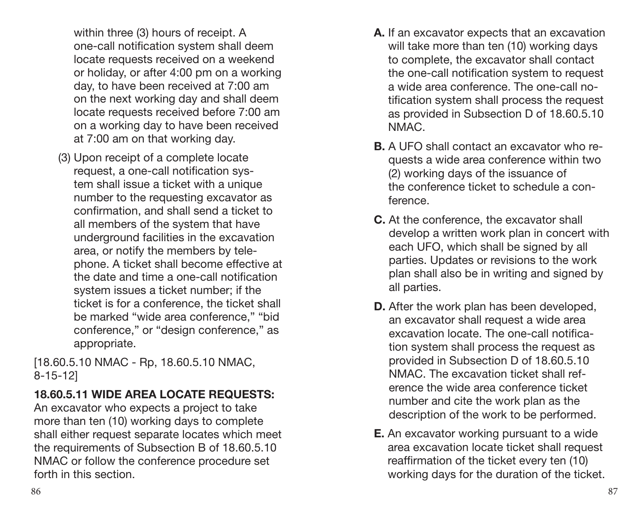within three (3) hours of receipt. A one-call notification system shall deem locate requests received on a weekend or holiday, or after 4:00 pm on a working day, to have been received at 7:00 am on the next working day and shall deem locate requests received before 7:00 am on a working day to have been received at 7:00 am on that working day.

(3) Upon receipt of a complete locate request, a one-call notification system shall issue a ticket with a unique number to the requesting excavator as confirmation, and shall send a ticket to all members of the system that have underground facilities in the excavation area, or notify the members by telephone. A ticket shall become effective at the date and time a one-call notification system issues a ticket number; if the ticket is for a conference, the ticket shall be marked "wide area conference," "bid conference," or "design conference," as appropriate.

[18.60.5.10 NMAC - Rp, 18.60.5.10 NMAC, 8-15-12]

#### **18.60.5.11 WIDE AREA LOCATE REQUESTS:**

An excavator who expects a project to take more than ten (10) working days to complete shall either request separate locates which meet the requirements of Subsection B of 18.60.5.10 NMAC or follow the conference procedure set forth in this section.

- **A.** If an excavator expects that an excavation will take more than ten (10) working days to complete, the excavator shall contact the one-call notification system to request a wide area conference. The one-call notification system shall process the request as provided in Subsection D of 18.60.5.10 NMAC.
- **B.** A UFO shall contact an excavator who requests a wide area conference within two (2) working days of the issuance of the conference ticket to schedule a conference.
- **C.** At the conference, the excavator shall develop a written work plan in concert with each UFO, which shall be signed by all parties. Updates or revisions to the work plan shall also be in writing and signed by all parties.
- **D.** After the work plan has been developed, an excavator shall request a wide area excavation locate. The one-call notification system shall process the request as provided in Subsection D of 18.60.5.10 NMAC. The excavation ticket shall reference the wide area conference ticket number and cite the work plan as the description of the work to be performed.
- **E.** An excavator working pursuant to a wide area excavation locate ticket shall request reaffirmation of the ticket every ten (10) working days for the duration of the ticket.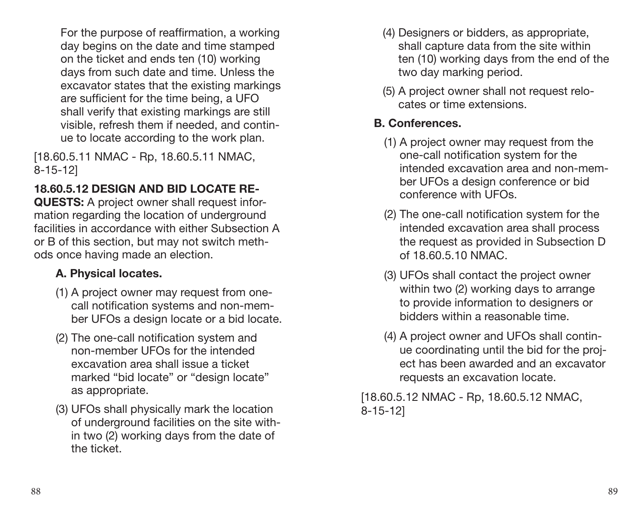For the purpose of reaffirmation, a working day begins on the date and time stamped on the ticket and ends ten (10) working days from such date and time. Unless the excavator states that the existing markings are sufficient for the time being, a UFO shall verify that existing markings are still visible, refresh them if needed, and continue to locate according to the work plan.

[18.60.5.11 NMAC - Rp, 18.60.5.11 NMAC, 8-15-12]

#### **18.60.5.12 DESIGN AND BID LOCATE RE-**

**QUESTS:** A project owner shall request information regarding the location of underground facilities in accordance with either Subsection A or B of this section, but may not switch methods once having made an election.

#### **A. Physical locates.**

- (1) A project owner may request from onecall notification systems and non-member UFOs a design locate or a bid locate.
- (2) The one-call notification system and non-member UFOs for the intended excavation area shall issue a ticket marked "bid locate" or "design locate" as appropriate.
- (3) UFOs shall physically mark the location of underground facilities on the site within two (2) working days from the date of the ticket.
- (4) Designers or bidders, as appropriate, shall capture data from the site within ten (10) working days from the end of the two day marking period.
- (5) A project owner shall not request relocates or time extensions.

#### **B. Conferences.**

- (1) A project owner may request from the one-call notification system for the intended excavation area and non-member UFOs a design conference or bid conference with UFOs.
- (2) The one-call notification system for the intended excavation area shall process the request as provided in Subsection D of 18.60.5.10 NMAC.
- (3) UFOs shall contact the project owner within two (2) working days to arrange to provide information to designers or bidders within a reasonable time.
- (4) A project owner and UFOs shall continue coordinating until the bid for the project has been awarded and an excavator requests an excavation locate.

[18.60.5.12 NMAC - Rp, 18.60.5.12 NMAC, 8-15-12]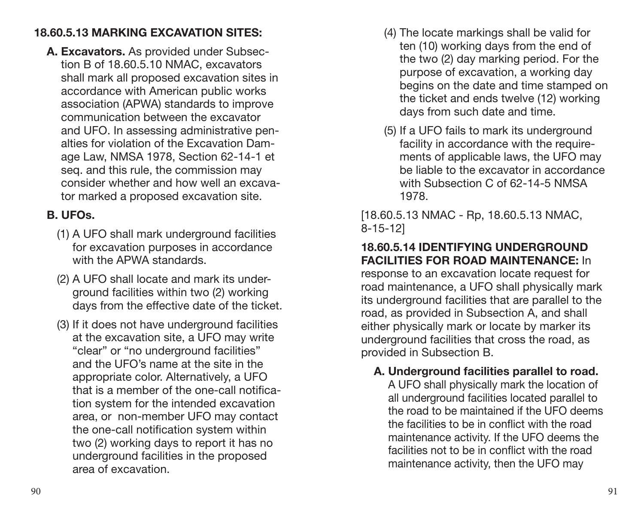#### **18.60.5.13 MARKING EXCAVATION SITES:**

**A. Excavators.** As provided under Subsection B of 18.60.5.10 NMAC, excavators shall mark all proposed excavation sites in accordance with American public works association (APWA) standards to improve communication between the excavator and UFO. In assessing administrative penalties for violation of the Excavation Damage Law, NMSA 1978, Section 62-14-1 et seq. and this rule, the commission may consider whether and how well an excavator marked a proposed excavation site.

#### **B. UFOs.**

- (1) A UFO shall mark underground facilities for excavation purposes in accordance with the APWA standards.
- (2) A UFO shall locate and mark its underground facilities within two (2) working days from the effective date of the ticket.
- (3) If it does not have underground facilities at the excavation site, a UFO may write "clear" or "no underground facilities" and the UFO's name at the site in the appropriate color. Alternatively, a UFO that is a member of the one-call notification system for the intended excavation area, or non-member UFO may contact the one-call notification system within two (2) working days to report it has no underground facilities in the proposed area of excavation.
- (4) The locate markings shall be valid for ten (10) working days from the end of the two (2) day marking period. For the purpose of excavation, a working day begins on the date and time stamped on the ticket and ends twelve (12) working days from such date and time.
- (5) If a UFO fails to mark its underground facility in accordance with the requirements of applicable laws, the UFO may be liable to the excavator in accordance with Subsection C of 62-14-5 NMSA 1978.

[18.60.5.13 NMAC - Rp, 18.60.5.13 NMAC, 8-15-12]

#### **18.60.5.14 IDENTIFYING UNDERGROUND FACILITIES FOR ROAD MAINTENANCE:** In

response to an excavation locate request for road maintenance, a UFO shall physically mark its underground facilities that are parallel to the road, as provided in Subsection A, and shall either physically mark or locate by marker its underground facilities that cross the road, as provided in Subsection B.

#### **A. Underground facilities parallel to road.**

A UFO shall physically mark the location of all underground facilities located parallel to the road to be maintained if the UFO deems the facilities to be in conflict with the road maintenance activity. If the UFO deems the facilities not to be in conflict with the road maintenance activity, then the UFO may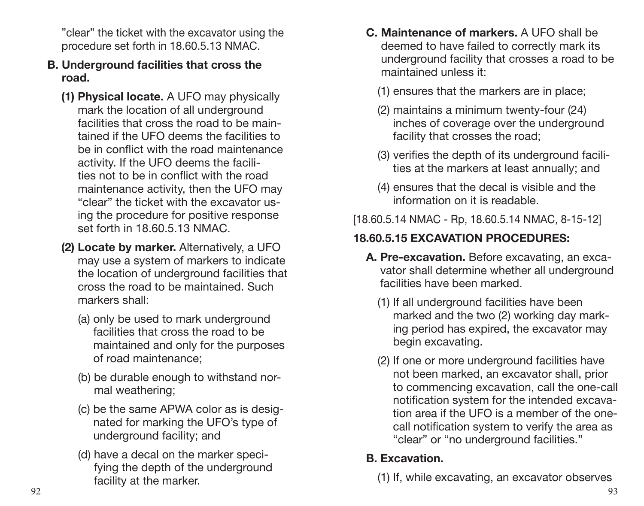"clear" the ticket with the excavator using the procedure set forth in 18.60.5.13 NMAC.

- **B. Underground facilities that cross the road.**
	- **(1) Physical locate.** A UFO may physically mark the location of all underground facilities that cross the road to be maintained if the UFO deems the facilities to be in conflict with the road maintenance activity. If the UFO deems the facilities not to be in conflict with the road maintenance activity, then the UFO may "clear" the ticket with the excavator using the procedure for positive response set forth in 18.60.5.13 NMAC.
	- **(2) Locate by marker.** Alternatively, a UFO may use a system of markers to indicate the location of underground facilities that cross the road to be maintained. Such markers shall:
		- (a) only be used to mark underground facilities that cross the road to be maintained and only for the purposes of road maintenance;
		- (b) be durable enough to withstand normal weathering;
		- (c) be the same APWA color as is designated for marking the UFO's type of underground facility; and
		- (d) have a decal on the marker specifying the depth of the underground facility at the marker.
- **C. Maintenance of markers.** A UFO shall be deemed to have failed to correctly mark its underground facility that crosses a road to be maintained unless it:
	- (1) ensures that the markers are in place;
	- (2) maintains a minimum twenty-four (24) inches of coverage over the underground facility that crosses the road;
	- (3) verifies the depth of its underground facilities at the markers at least annually; and
	- (4) ensures that the decal is visible and the information on it is readable.
- [18.60.5.14 NMAC Rp, 18.60.5.14 NMAC, 8-15-12]

## **18.60.5.15 EXCAVATION PROCEDURES:**

- **A. Pre-excavation.** Before excavating, an excavator shall determine whether all underground facilities have been marked.
	- (1) If all underground facilities have been marked and the two (2) working day marking period has expired, the excavator may begin excavating.
	- (2) If one or more underground facilities have not been marked, an excavator shall, prior to commencing excavation, call the one-call notification system for the intended excavation area if the UFO is a member of the onecall notification system to verify the area as "clear" or "no underground facilities."

#### **B. Excavation.**

(1) If, while excavating, an excavator observes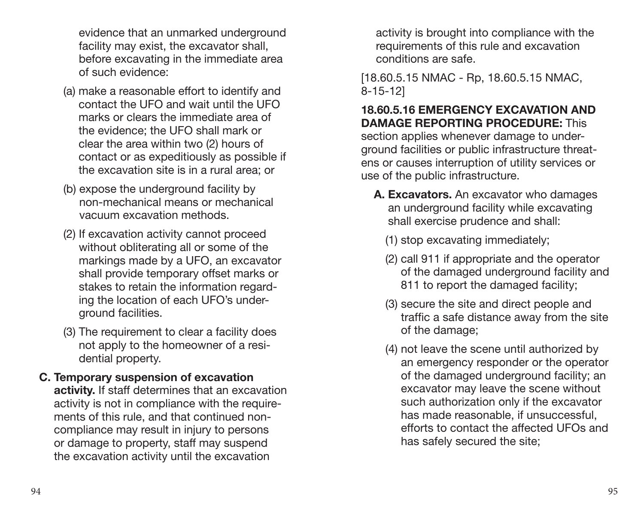evidence that an unmarked underground facility may exist, the excavator shall, before excavating in the immediate area of such evidence:

- (a) make a reasonable effort to identify and contact the UFO and wait until the UFO marks or clears the immediate area of the evidence; the UFO shall mark or clear the area within two (2) hours of contact or as expeditiously as possible if the excavation site is in a rural area; or
- (b) expose the underground facility by non-mechanical means or mechanical vacuum excavation methods.
- (2) If excavation activity cannot proceed without obliterating all or some of the markings made by a UFO, an excavator shall provide temporary offset marks or stakes to retain the information regarding the location of each UFO's underground facilities.
- (3) The requirement to clear a facility does not apply to the homeowner of a residential property.
- **C. Temporary suspension of excavation activity.** If staff determines that an excavation activity is not in compliance with the requirements of this rule, and that continued noncompliance may result in injury to persons or damage to property, staff may suspend the excavation activity until the excavation

activity is brought into compliance with the requirements of this rule and excavation conditions are safe.

[18.60.5.15 NMAC - Rp, 18.60.5.15 NMAC, 8-15-12]

**18.60.5.16 EMERGENCY EXCAVATION AND DAMAGE REPORTING PROCEDURE:** This section applies whenever damage to underground facilities or public infrastructure threatens or causes interruption of utility services or use of the public infrastructure.

- **A. Excavators.** An excavator who damages an underground facility while excavating shall exercise prudence and shall:
	- (1) stop excavating immediately;
	- (2) call 911 if appropriate and the operator of the damaged underground facility and 811 to report the damaged facility;
	- (3) secure the site and direct people and traffic a safe distance away from the site of the damage;
	- (4) not leave the scene until authorized by an emergency responder or the operator of the damaged underground facility; an excavator may leave the scene without such authorization only if the excavator has made reasonable, if unsuccessful, efforts to contact the affected UFOs and has safely secured the site;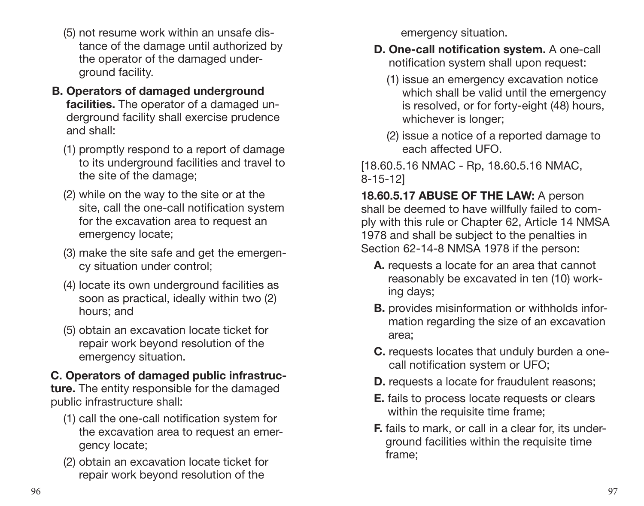- (5) not resume work within an unsafe distance of the damage until authorized by the operator of the damaged underground facility.
- **B. Operators of damaged underground facilities.** The operator of a damaged underground facility shall exercise prudence and shall:
	- (1) promptly respond to a report of damage to its underground facilities and travel to the site of the damage;
	- (2) while on the way to the site or at the site, call the one-call notification system for the excavation area to request an emergency locate;
	- (3) make the site safe and get the emergency situation under control;
	- (4) locate its own underground facilities as soon as practical, ideally within two (2) hours; and
	- (5) obtain an excavation locate ticket for repair work beyond resolution of the emergency situation.

## **C. Operators of damaged public infrastruc-**

**ture.** The entity responsible for the damaged public infrastructure shall:

- (1) call the one-call notification system for the excavation area to request an emergency locate;
- (2) obtain an excavation locate ticket for repair work beyond resolution of the

emergency situation.

- **D. One-call notification system.** A one-call notification system shall upon request:
	- (1) issue an emergency excavation notice which shall be valid until the emergency is resolved, or for forty-eight (48) hours, whichever is longer;
	- (2) issue a notice of a reported damage to each affected UFO.

[18.60.5.16 NMAC - Rp, 18.60.5.16 NMAC, 8-15-12]

**18.60.5.17 ABUSE OF THE LAW:** A person shall be deemed to have willfully failed to comply with this rule or Chapter 62, Article 14 NMSA 1978 and shall be subject to the penalties in Section 62-14-8 NMSA 1978 if the person:

- **A.** requests a locate for an area that cannot reasonably be excavated in ten (10) working days;
- **B.** provides misinformation or withholds information regarding the size of an excavation area;
- **C.** requests locates that unduly burden a onecall notification system or UFO;
- **D.** requests a locate for fraudulent reasons:
- **E.** fails to process locate requests or clears within the requisite time frame;
- **F.** fails to mark, or call in a clear for, its underground facilities within the requisite time frame;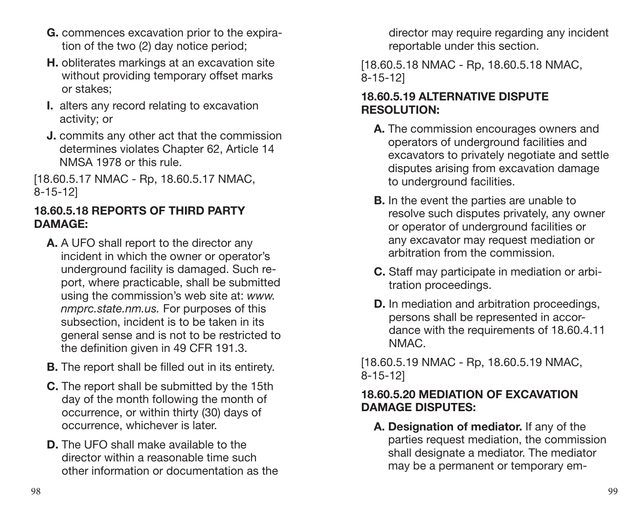- **G.** commences excavation prior to the expiration of the two (2) day notice period;
- **H.** obliterates markings at an excavation site without providing temporary offset marks or stakes;
- **I.** alters any record relating to excavation activity; or
- **J.** commits any other act that the commission determines violates Chapter 62, Article 14 NMSA 1978 or this rule.

[18.60.5.17 NMAC - Rp, 18.60.5.17 NMAC, 8-15-12]

#### **18.60.5.18 REPORTS OF THIRD PARTY DAMAGE:**

- **A.** A UFO shall report to the director any incident in which the owner or operator's underground facility is damaged. Such report, where practicable, shall be submitted using the commission's web site at: *www. nmprc.state.nm.us.* For purposes of this subsection, incident is to be taken in its general sense and is not to be restricted to the definition given in 49 CFR 191.3.
- **B.** The report shall be filled out in its entirety.
- **C.** The report shall be submitted by the 15th day of the month following the month of occurrence, or within thirty (30) days of occurrence, whichever is later.
- **D.** The UFO shall make available to the director within a reasonable time such other information or documentation as the

director may require regarding any incident reportable under this section.

[18.60.5.18 NMAC - Rp, 18.60.5.18 NMAC, 8-15-12]

#### **18.60.5.19 ALTERNATIVE DISPUTE RESOLUTION:**

- **A.** The commission encourages owners and operators of underground facilities and excavators to privately negotiate and settle disputes arising from excavation damage to underground facilities.
- **B.** In the event the parties are unable to resolve such disputes privately, any owner or operator of underground facilities or any excavator may request mediation or arbitration from the commission.
- **C.** Staff may participate in mediation or arbitration proceedings.
- **D.** In mediation and arbitration proceedings, persons shall be represented in accordance with the requirements of 18.60.4.11 NMAC.

[18.60.5.19 NMAC - Rp, 18.60.5.19 NMAC, 8-15-12]

#### **18.60.5.20 MEDIATION OF EXCAVATION DAMAGE DISPUTES:**

**A. Designation of mediator.** If any of the parties request mediation, the commission shall designate a mediator. The mediator may be a permanent or temporary em-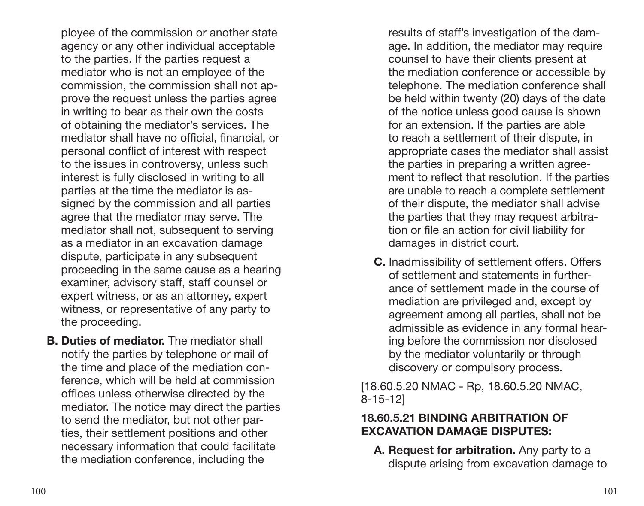ployee of the commission or another state agency or any other individual acceptable to the parties. If the parties request a mediator who is not an employee of the commission, the commission shall not approve the request unless the parties agree in writing to bear as their own the costs of obtaining the mediator's services. The mediator shall have no official, financial, or personal conflict of interest with respect to the issues in controversy, unless such interest is fully disclosed in writing to all parties at the time the mediator is assigned by the commission and all parties agree that the mediator may serve. The mediator shall not, subsequent to serving as a mediator in an excavation damage dispute, participate in any subsequent proceeding in the same cause as a hearing examiner, advisory staff, staff counsel or expert witness, or as an attorney, expert witness, or representative of any party to the proceeding.

**B. Duties of mediator.** The mediator shall notify the parties by telephone or mail of the time and place of the mediation conference, which will be held at commission offices unless otherwise directed by the mediator. The notice may direct the parties to send the mediator, but not other parties, their settlement positions and other necessary information that could facilitate the mediation conference, including the

results of staff's investigation of the damage. In addition, the mediator may require counsel to have their clients present at the mediation conference or accessible by telephone. The mediation conference shall be held within twenty (20) days of the date of the notice unless good cause is shown for an extension. If the parties are able to reach a settlement of their dispute, in appropriate cases the mediator shall assist the parties in preparing a written agreement to reflect that resolution. If the parties are unable to reach a complete settlement of their dispute, the mediator shall advise the parties that they may request arbitration or file an action for civil liability for damages in district court.

**C.** Inadmissibility of settlement offers. Offers of settlement and statements in furtherance of settlement made in the course of mediation are privileged and, except by agreement among all parties, shall not be admissible as evidence in any formal hearing before the commission nor disclosed by the mediator voluntarily or through discovery or compulsory process.

[18.60.5.20 NMAC - Rp, 18.60.5.20 NMAC, 8-15-12]

#### **18.60.5.21 BINDING ARBITRATION OF EXCAVATION DAMAGE DISPUTES:**

**A. Request for arbitration.** Any party to a dispute arising from excavation damage to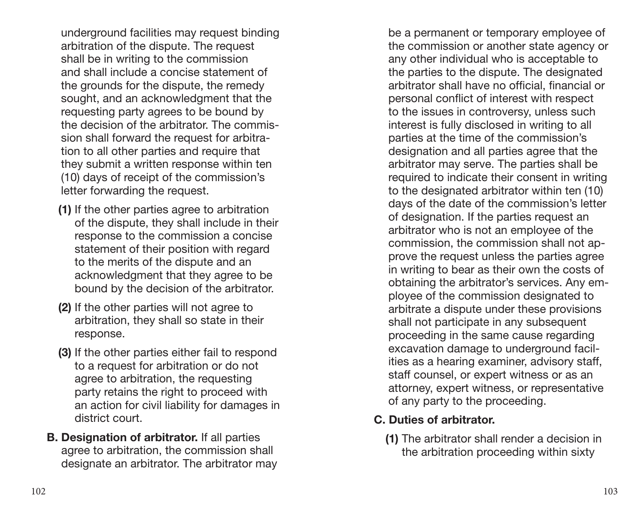underground facilities may request binding arbitration of the dispute. The request shall be in writing to the commission and shall include a concise statement of the grounds for the dispute, the remedy sought, and an acknowledgment that the requesting party agrees to be bound by the decision of the arbitrator. The commission shall forward the request for arbitration to all other parties and require that they submit a written response within ten (10) days of receipt of the commission's letter forwarding the request.

- **(1)** If the other parties agree to arbitration of the dispute, they shall include in their response to the commission a concise statement of their position with regard to the merits of the dispute and an acknowledgment that they agree to be bound by the decision of the arbitrator.
- **(2)** If the other parties will not agree to arbitration, they shall so state in their response.
- **(3)** If the other parties either fail to respond to a request for arbitration or do not agree to arbitration, the requesting party retains the right to proceed with an action for civil liability for damages in district court.
- **B. Designation of arbitrator.** If all parties agree to arbitration, the commission shall designate an arbitrator. The arbitrator may

be a permanent or temporary employee of the commission or another state agency or any other individual who is acceptable to the parties to the dispute. The designated arbitrator shall have no official, financial or personal conflict of interest with respect to the issues in controversy, unless such interest is fully disclosed in writing to all parties at the time of the commission's designation and all parties agree that the arbitrator may serve. The parties shall be required to indicate their consent in writing to the designated arbitrator within ten (10) days of the date of the commission's letter of designation. If the parties request an arbitrator who is not an employee of the commission, the commission shall not approve the request unless the parties agree in writing to bear as their own the costs of obtaining the arbitrator's services. Any employee of the commission designated to arbitrate a dispute under these provisions shall not participate in any subsequent proceeding in the same cause regarding excavation damage to underground facilities as a hearing examiner, advisory staff, staff counsel, or expert witness or as an attorney, expert witness, or representative of any party to the proceeding.

#### **C. Duties of arbitrator.**

**(1)** The arbitrator shall render a decision in the arbitration proceeding within sixty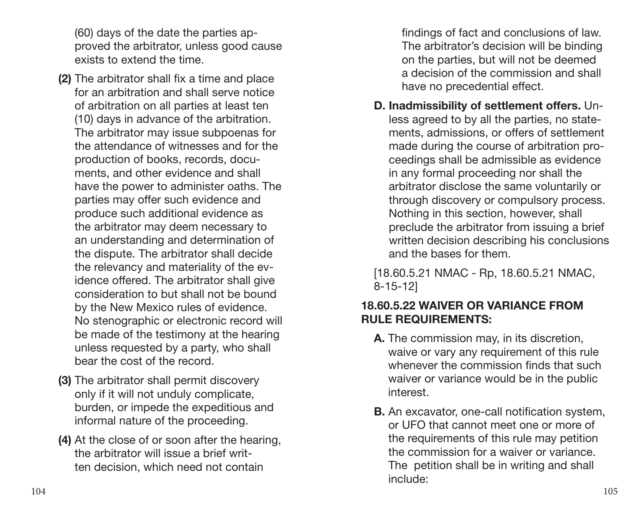(60) days of the date the parties approved the arbitrator, unless good cause exists to extend the time.

- **(2)** The arbitrator shall fix a time and place for an arbitration and shall serve notice of arbitration on all parties at least ten (10) days in advance of the arbitration. The arbitrator may issue subpoenas for the attendance of witnesses and for the production of books, records, documents, and other evidence and shall have the power to administer oaths. The parties may offer such evidence and produce such additional evidence as the arbitrator may deem necessary to an understanding and determination of the dispute. The arbitrator shall decide the relevancy and materiality of the evidence offered. The arbitrator shall give consideration to but shall not be bound by the New Mexico rules of evidence. No stenographic or electronic record will be made of the testimony at the hearing unless requested by a party, who shall bear the cost of the record.
- **(3)** The arbitrator shall permit discovery only if it will not unduly complicate, burden, or impede the expeditious and informal nature of the proceeding.
- **(4)** At the close of or soon after the hearing, the arbitrator will issue a brief written decision, which need not contain

findings of fact and conclusions of law. The arbitrator's decision will be binding on the parties, but will not be deemed a decision of the commission and shall have no precedential effect.

**D. Inadmissibility of settlement offers.** Unless agreed to by all the parties, no statements, admissions, or offers of settlement made during the course of arbitration proceedings shall be admissible as evidence in any formal proceeding nor shall the arbitrator disclose the same voluntarily or through discovery or compulsory process. Nothing in this section, however, shall preclude the arbitrator from issuing a brief written decision describing his conclusions and the bases for them.

[18.60.5.21 NMAC - Rp, 18.60.5.21 NMAC, 8-15-12]

#### **18.60.5.22 WAIVER OR VARIANCE FROM RULE REQUIREMENTS:**

- **A.** The commission may, in its discretion, waive or vary any requirement of this rule whenever the commission finds that such waiver or variance would be in the public interest.
- **B.** An excavator, one-call notification system, or UFO that cannot meet one or more of the requirements of this rule may petition the commission for a waiver or variance. The petition shall be in writing and shall include: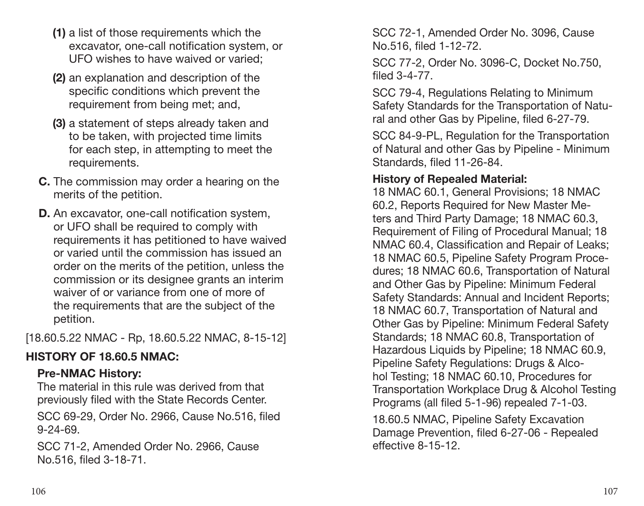- **(1)** a list of those requirements which the excavator, one-call notification system, or UFO wishes to have waived or varied;
- **(2)** an explanation and description of the specific conditions which prevent the requirement from being met; and,
- **(3)** a statement of steps already taken and to be taken, with projected time limits for each step, in attempting to meet the requirements.
- **C.** The commission may order a hearing on the merits of the petition.
- **D.** An excavator, one-call notification system, or UFO shall be required to comply with requirements it has petitioned to have waived or varied until the commission has issued an order on the merits of the petition, unless the commission or its designee grants an interim waiver of or variance from one of more of the requirements that are the subject of the petition.

[18.60.5.22 NMAC - Rp, 18.60.5.22 NMAC, 8-15-12]

#### **HISTORY OF 18.60.5 NMAC:**

#### **Pre-NMAC History:**

The material in this rule was derived from that previously filed with the State Records Center.

SCC 69-29, Order No. 2966, Cause No.516, filed 9-24-69.

SCC 71-2, Amended Order No. 2966, Cause No.516, filed 3-18-71.

SCC 72-1, Amended Order No. 3096, Cause No.516, filed 1-12-72.

SCC 77-2, Order No. 3096-C, Docket No.750, filed 3-4-77.

SCC 79-4, Regulations Relating to Minimum Safety Standards for the Transportation of Natural and other Gas by Pipeline, filed 6-27-79.

SCC 84-9-PL, Regulation for the Transportation of Natural and other Gas by Pipeline - Minimum Standards, filed 11-26-84.

#### **History of Repealed Material:**

18 NMAC 60.1, General Provisions; 18 NMAC 60.2, Reports Required for New Master Meters and Third Party Damage; 18 NMAC 60.3, Requirement of Filing of Procedural Manual; 18 NMAC 60.4, Classification and Repair of Leaks; 18 NMAC 60.5, Pipeline Safety Program Procedures; 18 NMAC 60.6, Transportation of Natural and Other Gas by Pipeline: Minimum Federal Safety Standards: Annual and Incident Reports; 18 NMAC 60.7, Transportation of Natural and Other Gas by Pipeline: Minimum Federal Safety Standards; 18 NMAC 60.8, Transportation of Hazardous Liquids by Pipeline; 18 NMAC 60.9, Pipeline Safety Regulations: Drugs & Alcohol Testing; 18 NMAC 60.10, Procedures for Transportation Workplace Drug & Alcohol Testing Programs (all filed 5-1-96) repealed 7-1-03.

18.60.5 NMAC, Pipeline Safety Excavation Damage Prevention, filed 6-27-06 - Repealed effective 8-15-12.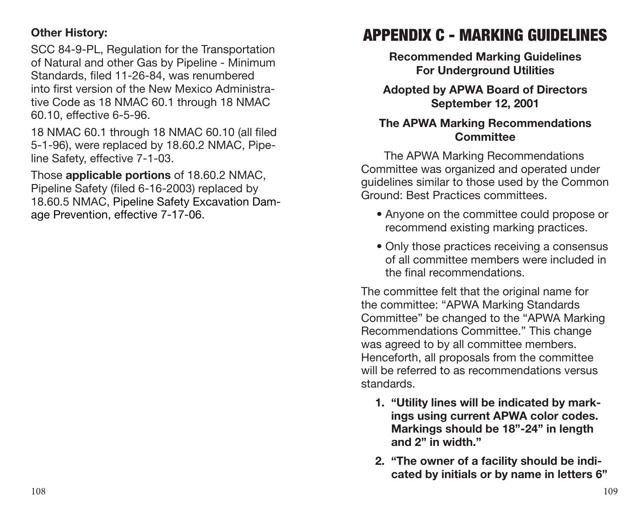#### <span id="page-55-0"></span>**Other History:**

SCC 84-9-PL, Regulation for the Transportation of Natural and other Gas by Pipeline - Minimum Standards, filed 11-26-84, was renumbered into first version of the New Mexico Administrative Code as 18 NMAC 60.1 through 18 NMAC 60.10, effective 6-5-96.

18 NMAC 60.1 through 18 NMAC 60.10 (all filed 5-1-96), were replaced by 18.60.2 NMAC, Pipeline Safety, effective 7-1-03.

Those **applicable portions** of 18.60.2 NMAC, Pipeline Safety (filed 6-16-2003) replaced by 18.60.5 NMAC, Pipeline Safety Excavation Damage Prevention, effective 7-17-06.

## APPENDIX C - MARKING GUIDELINES

**Recommended Marking Guidelines For Underground Utilities** 

**Adopted by APWA Board of Directors September 12, 2001** 

#### **The APWA Marking Recommendations Committee**

The APWA Marking Recommendations Committee was organized and operated under guidelines similar to those used by the Common Ground: Best Practices committees.

- Anyone on the committee could propose or recommend existing marking practices.
- Only those practices receiving a consensus of all committee members were included in the final recommendations.

The committee felt that the original name for the committee: "APWA Marking Standards Committee" be changed to the "APWA Marking Recommendations Committee." This change was agreed to by all committee members. Henceforth, all proposals from the committee will be referred to as recommendations versus standards.

- **1. "Utility lines will be indicated by markings using current APWA color codes. Markings should be 18"-24" in length and 2" in width."**
- **2. "The owner of a facility should be indicated by initials or by name in letters 6"**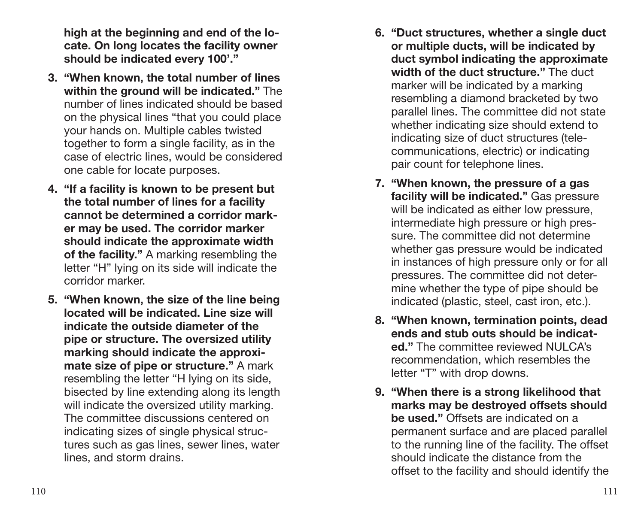**high at the beginning and end of the locate. On long locates the facility owner should be indicated every 100'."**

- **3. "When known, the total number of lines within the ground will be indicated."** The number of lines indicated should be based on the physical lines "that you could place your hands on. Multiple cables twisted together to form a single facility, as in the case of electric lines, would be considered one cable for locate purposes.
- **4. "If a facility is known to be present but the total number of lines for a facility cannot be determined a corridor marker may be used. The corridor marker should indicate the approximate width of the facility."** A marking resembling the letter "H" lying on its side will indicate the corridor marker.
- **5. "When known, the size of the line being located will be indicated. Line size will indicate the outside diameter of the pipe or structure. The oversized utility marking should indicate the approximate size of pipe or structure."** A mark resembling the letter "H lying on its side, bisected by line extending along its length will indicate the oversized utility marking. The committee discussions centered on indicating sizes of single physical structures such as gas lines, sewer lines, water lines, and storm drains.
- **6. "Duct structures, whether a single duct or multiple ducts, will be indicated by duct symbol indicating the approximate width of the duct structure."** The duct marker will be indicated by a marking resembling a diamond bracketed by two parallel lines. The committee did not state whether indicating size should extend to indicating size of duct structures (telecommunications, electric) or indicating pair count for telephone lines.
- **7. "When known, the pressure of a gas facility will be indicated."** Gas pressure will be indicated as either low pressure. intermediate high pressure or high pressure. The committee did not determine whether gas pressure would be indicated in instances of high pressure only or for all pressures. The committee did not determine whether the type of pipe should be indicated (plastic, steel, cast iron, etc.).
- **8. "When known, termination points, dead ends and stub outs should be indicated.**" The committee reviewed NULCA's recommendation, which resembles the letter "T" with drop downs.
- **9. "When there is a strong likelihood that marks may be destroyed offsets should be used."** Offsets are indicated on a permanent surface and are placed parallel to the running line of the facility. The offset should indicate the distance from the offset to the facility and should identify the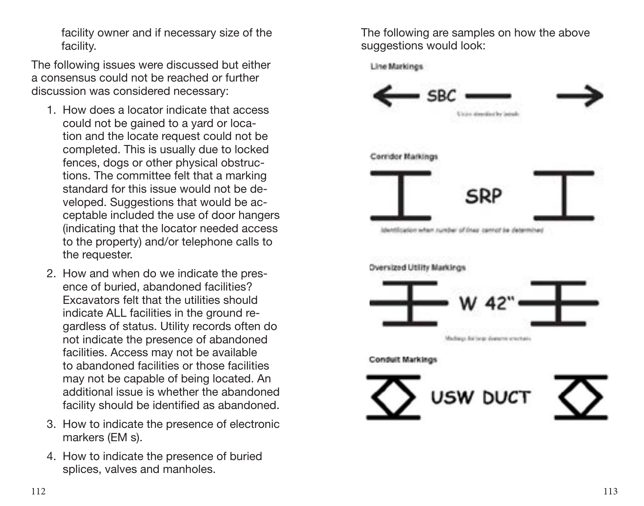facility owner and if necessary size of the facility.

The following issues were discussed but either a consensus could not be reached or further discussion was considered necessary:

- 1. How does a locator indicate that access could not be gained to a yard or location and the locate request could not be completed. This is usually due to locked fences, dogs or other physical obstructions. The committee felt that a marking standard for this issue would not be developed. Suggestions that would be acceptable included the use of door hangers (indicating that the locator needed access to the property) and/or telephone calls to the requester.
- 2. How and when do we indicate the presence of buried, abandoned facilities? Excavators felt that the utilities should indicate ALL facilities in the ground regardless of status. Utility records often do not indicate the presence of abandoned facilities. Access may not be available to abandoned facilities or those facilities may not be capable of being located. An additional issue is whether the abandoned facility should be identified as abandoned.
- 3. How to indicate the presence of electronic markers (EM s).
- 4. How to indicate the presence of buried splices, valves and manholes.

The following are samples on how the above suggestions would look:

Line Markings

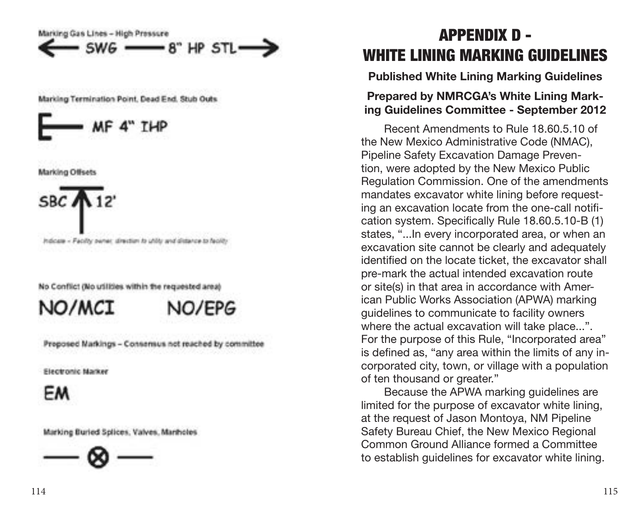<span id="page-58-0"></span>Marking Gas Lines - High Pressure SWG -8" HP STL.

Marking Termination Point, Dead End, Stub Outs



**Marking Offsets** 

Indicate - Facility parter, direction to utility and distance to facility

No Conflict (No utilities within the requested area)

NO/MCT



Proposed Markings - Consensus not reached by committee

**Electronic Marker** 

FM

Marking Buried Splices, Valves, Martholes



## APPENDIX D - WHITE LINING MARKING GUIDELINES

**Published White Lining Marking Guidelines**

#### **Prepared by NMRCGA's White Lining Mark ing Guidelines Committee - September 2012**

Recent Amendments to Rule 18.60.5.10 of the New Mexico Administrative Code (NMAC), Pipeline Safety Excavation Damage Preven tion, were adopted by the New Mexico Public Regulation Commission. One of the amendments mandates excavator white lining before request ing an excavation locate from the one-call notifi cation system. Specifically Rule 18.60.5.10-B (1) states, "...In every incorporated area, or when an excavation site cannot be clearly and adequately identified on the locate ticket, the excavator shall pre-mark the actual intended excavation route or site(s) in that area in accordance with American Public Works Association (APWA) marking guidelines to communicate to facility owners where the actual excavation will take place...". For the purpose of this Rule, "Incorporated area" is defined as, "any area within the limits of any in corporated city, town, or village with a population of ten thousand or greater."

Because the APWA marking guidelines are limited for the purpose of excavator white lining, at the request of Jason Montoya, NM Pipeline Safety Bureau Chief, the New Mexico Regional Common Ground Alliance formed a Committee to establish guidelines for excavator white lining.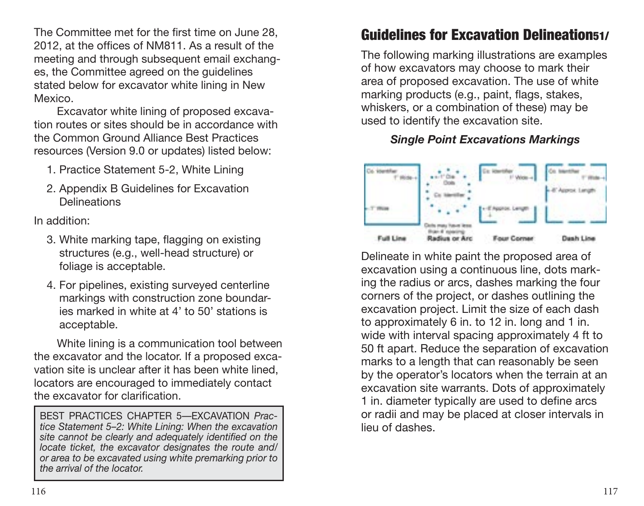The Committee met for the first time on June 28, 2012, at the offices of NM811. As a result of the meeting and through subsequent email exchanges, the Committee agreed on the guidelines stated below for excavator white lining in New Mexico.

Excavator white lining of proposed excavation routes or sites should be in accordance with the Common Ground Alliance Best Practices resources (Version 9.0 or updates) listed below:

- 1. Practice Statement 5-2, White Lining
- 2. Appendix B Guidelines for Excavation Delineations

In addition:

- 3. White marking tape, flagging on existing structures (e.g., well-head structure) or foliage is acceptable.
- 4. For pipelines, existing surveyed centerline markings with construction zone boundaries marked in white at 4' to 50' stations is acceptable.

White lining is a communication tool between the excavator and the locator. If a proposed excavation site is unclear after it has been white lined, locators are encouraged to immediately contact the excavator for clarification.

BEST PRACTICES CHAPTER 5—EXCAVATION *Practice Statement 5–2: White Lining: When the excavation site cannot be clearly and adequately identified on the locate ticket, the excavator designates the route and/ or area to be excavated using white premarking prior to the arrival of the locator.*

## Guidelines for Excavation Delineation51/

The following marking illustrations are examples of how excavators may choose to mark their area of proposed excavation. The use of white marking products (e.g., paint, flags, stakes, whiskers, or a combination of these) may be used to identify the excavation site.

#### *Single Point Excavations Markings*



Delineate in white paint the proposed area of excavation using a continuous line, dots marking the radius or arcs, dashes marking the four corners of the project, or dashes outlining the excavation project. Limit the size of each dash to approximately 6 in. to 12 in. long and 1 in. wide with interval spacing approximately 4 ft to 50 ft apart. Reduce the separation of excavation marks to a length that can reasonably be seen by the operator's locators when the terrain at an excavation site warrants. Dots of approximately 1 in. diameter typically are used to define arcs or radii and may be placed at closer intervals in lieu of dashes.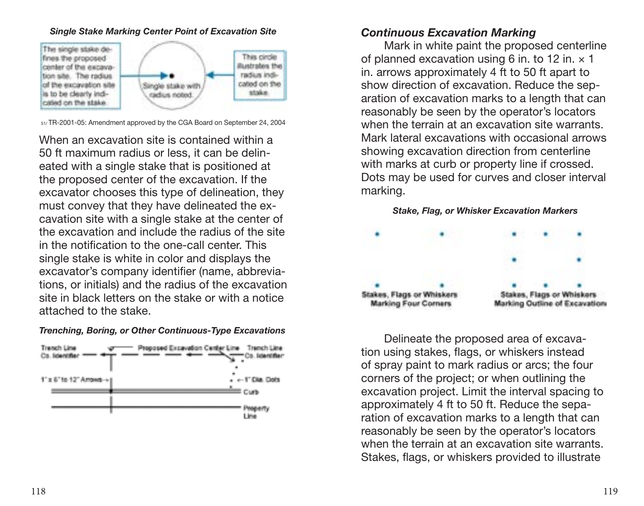#### *Single Stake Marking Center Point of Excavation Site*



51/ TR-2001-05: Amendment approved by the CGA Board on September 24, 2004

When an excavation site is contained within a 50 ft maximum radius or less, it can be delineated with a single stake that is positioned at the proposed center of the excavation. If the excavator chooses this type of delineation, they must convey that they have delineated the excavation site with a single stake at the center of the excavation and include the radius of the site in the notification to the one-call center. This single stake is white in color and displays the excavator's company identifier (name, abbreviations, or initials) and the radius of the excavation site in black letters on the stake or with a notice attached to the stake.

#### *Trenching, Boring, or Other Continuous-Type Excavations*



#### *Continuous Excavation Marking*

Mark in white paint the proposed centerline of planned excavation using 6 in. to 12 in.  $\times$  1 in. arrows approximately 4 ft to 50 ft apart to show direction of excavation. Reduce the separation of excavation marks to a length that can reasonably be seen by the operator's locators when the terrain at an excavation site warrants. Mark lateral excavations with occasional arrows showing excavation direction from centerline with marks at curb or property line if crossed. Dots may be used for curves and closer interval marking.



Delineate the proposed area of excavation using stakes, flags, or whiskers instead of spray paint to mark radius or arcs; the four corners of the project; or when outlining the excavation project. Limit the interval spacing to approximately 4 ft to 50 ft. Reduce the separation of excavation marks to a length that can reasonably be seen by the operator's locators when the terrain at an excavation site warrants. Stakes, flags, or whiskers provided to illustrate